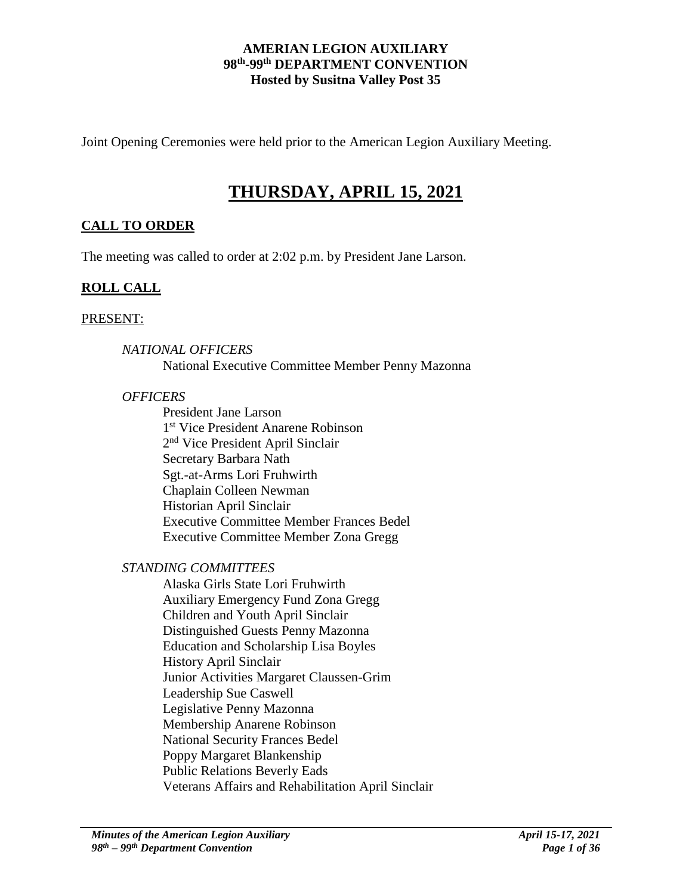#### **AMERIAN LEGION AUXILIARY 98th -99th DEPARTMENT CONVENTION Hosted by Susitna Valley Post 35**

Joint Opening Ceremonies were held prior to the American Legion Auxiliary Meeting.

# **THURSDAY, APRIL 15, 2021**

# **CALL TO ORDER**

The meeting was called to order at 2:02 p.m. by President Jane Larson.

## **ROLL CALL**

#### PRESENT:

### *NATIONAL OFFICERS*

National Executive Committee Member Penny Mazonna

#### *OFFICERS*

President Jane Larson 1 st Vice President Anarene Robinson 2<sup>nd</sup> Vice President April Sinclair Secretary Barbara Nath Sgt.-at-Arms Lori Fruhwirth Chaplain Colleen Newman Historian April Sinclair Executive Committee Member Frances Bedel Executive Committee Member Zona Gregg

### *STANDING COMMITTEES*

Alaska Girls State Lori Fruhwirth Auxiliary Emergency Fund Zona Gregg Children and Youth April Sinclair Distinguished Guests Penny Mazonna Education and Scholarship Lisa Boyles History April Sinclair Junior Activities Margaret Claussen-Grim Leadership Sue Caswell Legislative Penny Mazonna Membership Anarene Robinson National Security Frances Bedel Poppy Margaret Blankenship Public Relations Beverly Eads Veterans Affairs and Rehabilitation April Sinclair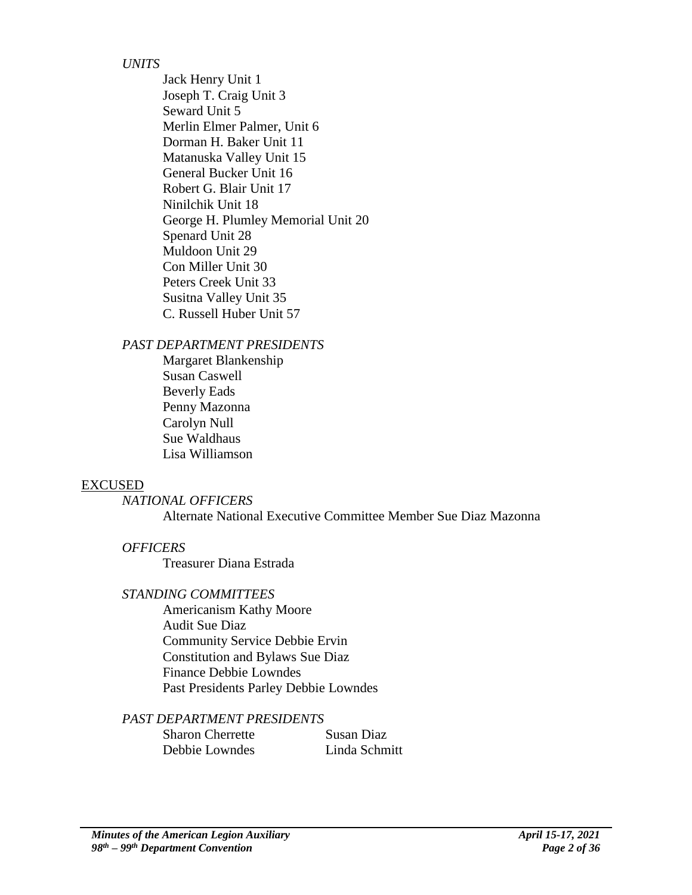### *UNITS*

Jack Henry Unit 1 Joseph T. Craig Unit 3 Seward Unit 5 Merlin Elmer Palmer, Unit 6 Dorman H. Baker Unit 11 Matanuska Valley Unit 15 General Bucker Unit 16 Robert G. Blair Unit 17 Ninilchik Unit 18 George H. Plumley Memorial Unit 20 Spenard Unit 28 Muldoon Unit 29 Con Miller Unit 30 Peters Creek Unit 33 Susitna Valley Unit 35 C. Russell Huber Unit 57

*PAST DEPARTMENT PRESIDENTS*

Margaret Blankenship Susan Caswell Beverly Eads Penny Mazonna Carolyn Null Sue Waldhaus Lisa Williamson

### EXCUSED

#### *NATIONAL OFFICERS*

Alternate National Executive Committee Member Sue Diaz Mazonna

### *OFFICERS*

Treasurer Diana Estrada

#### *STANDING COMMITTEES*

Americanism Kathy Moore Audit Sue Diaz Community Service Debbie Ervin Constitution and Bylaws Sue Diaz Finance Debbie Lowndes Past Presidents Parley Debbie Lowndes

### *PAST DEPARTMENT PRESIDENTS*

Sharon Cherrette Susan Diaz Debbie Lowndes Linda Schmitt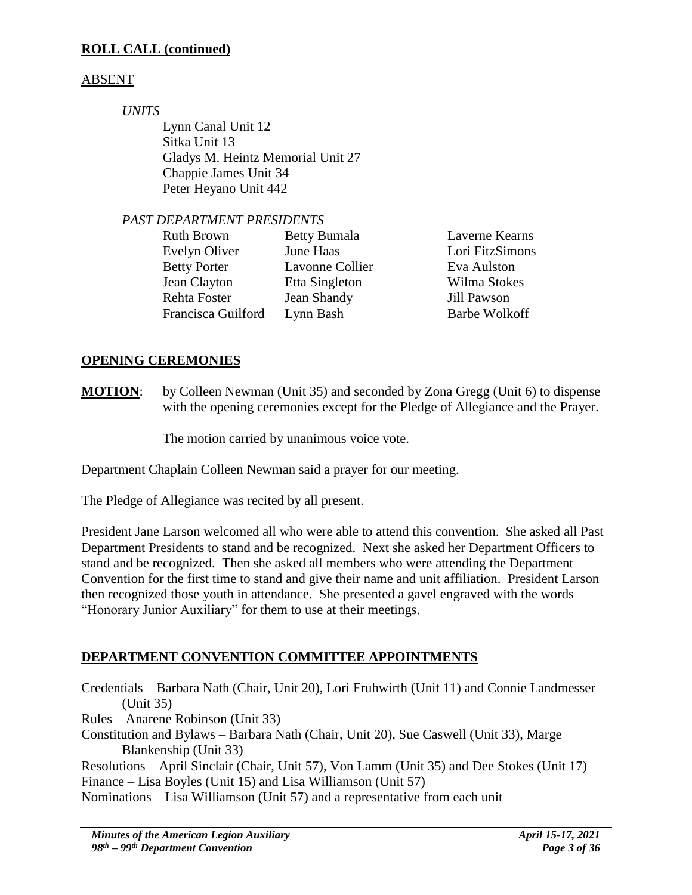# **ROLL CALL (continued)**

# ABSENT

*UNITS*

Lynn Canal Unit 12 Sitka Unit 13 Gladys M. Heintz Memorial Unit 27 Chappie James Unit 34 Peter Heyano Unit 442

### *PAST DEPARTMENT PRESIDENTS*

| <b>Betty Bumala</b> | Laverne Kearns       |
|---------------------|----------------------|
| June Haas           | Lori FitzSimons      |
| Lavonne Collier     | Eva Aulston          |
| Etta Singleton      | Wilma Stokes         |
| Jean Shandy         | Jill Pawson          |
| Lynn Bash           | <b>Barbe Wolkoff</b> |
|                     |                      |

## **OPENING CEREMONIES**

**MOTION**: by Colleen Newman (Unit 35) and seconded by Zona Gregg (Unit 6) to dispense with the opening ceremonies except for the Pledge of Allegiance and the Prayer.

The motion carried by unanimous voice vote.

Department Chaplain Colleen Newman said a prayer for our meeting.

The Pledge of Allegiance was recited by all present.

President Jane Larson welcomed all who were able to attend this convention. She asked all Past Department Presidents to stand and be recognized. Next she asked her Department Officers to stand and be recognized. Then she asked all members who were attending the Department Convention for the first time to stand and give their name and unit affiliation. President Larson then recognized those youth in attendance. She presented a gavel engraved with the words "Honorary Junior Auxiliary" for them to use at their meetings.

# **DEPARTMENT CONVENTION COMMITTEE APPOINTMENTS**

Credentials – Barbara Nath (Chair, Unit 20), Lori Fruhwirth (Unit 11) and Connie Landmesser (Unit 35)

Rules – Anarene Robinson (Unit 33)

Constitution and Bylaws – Barbara Nath (Chair, Unit 20), Sue Caswell (Unit 33), Marge Blankenship (Unit 33)

Resolutions – April Sinclair (Chair, Unit 57), Von Lamm (Unit 35) and Dee Stokes (Unit 17) Finance – Lisa Boyles (Unit 15) and Lisa Williamson (Unit 57)

Nominations – Lisa Williamson (Unit 57) and a representative from each unit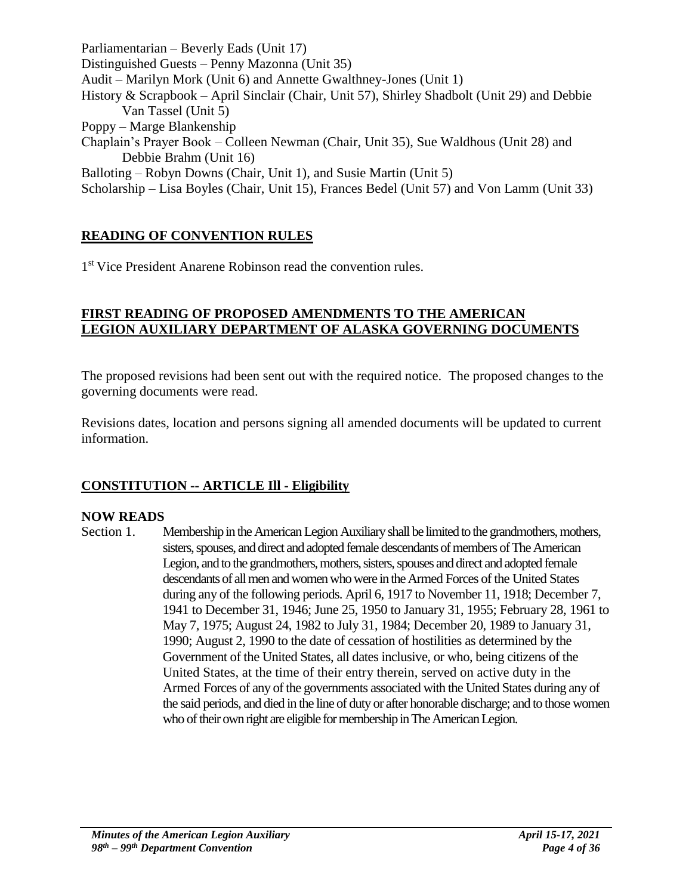Parliamentarian – Beverly Eads (Unit 17) Distinguished Guests – Penny Mazonna (Unit 35) Audit – Marilyn Mork (Unit 6) and Annette Gwalthney-Jones (Unit 1) History & Scrapbook – April Sinclair (Chair, Unit 57), Shirley Shadbolt (Unit 29) and Debbie Van Tassel (Unit 5) Poppy – Marge Blankenship Chaplain's Prayer Book – Colleen Newman (Chair, Unit 35), Sue Waldhous (Unit 28) and Debbie Brahm (Unit 16) Balloting – Robyn Downs (Chair, Unit 1), and Susie Martin (Unit 5) Scholarship – Lisa Boyles (Chair, Unit 15), Frances Bedel (Unit 57) and Von Lamm (Unit 33)

# **READING OF CONVENTION RULES**

1<sup>st</sup> Vice President Anarene Robinson read the convention rules.

### **FIRST READING OF PROPOSED AMENDMENTS TO THE AMERICAN LEGION AUXILIARY DEPARTMENT OF ALASKA GOVERNING DOCUMENTS**

The proposed revisions had been sent out with the required notice. The proposed changes to the governing documents were read.

Revisions dates, location and persons signing all amended documents will be updated to current information.

# **CONSTITUTION -- ARTICLE Ill - Eligibility**

# **NOW READS**

Section 1. Membership in the American Legion Auxiliary shall be limited to the grandmothers, mothers, sisters, spouses, and direct and adopted female descendants of members of The American Legion, and to the grandmothers, mothers, sisters, spouses and direct and adopted female descendants of all men and women who were in the Armed Forces of the United States during any of the following periods. April 6, 1917 to November 11, 1918; December 7, 1941 to December 31, 1946; June 25, 1950 to January 31, 1955; February 28, 1961 to May 7, 1975; August 24, 1982 to July 31, 1984; December 20, 1989 to January 31, 1990; August 2, 1990 to the date of cessation of hostilities as determined by the Government of the United States, all dates inclusive, or who, being citizens of the United States, at the time of their entry therein, served on active duty in the Armed Forces of any of the governments associated with the United States during any of the said periods, and died in the line of duty or after honorable discharge; and to those women who of their own right are eligible for membership in The American Legion.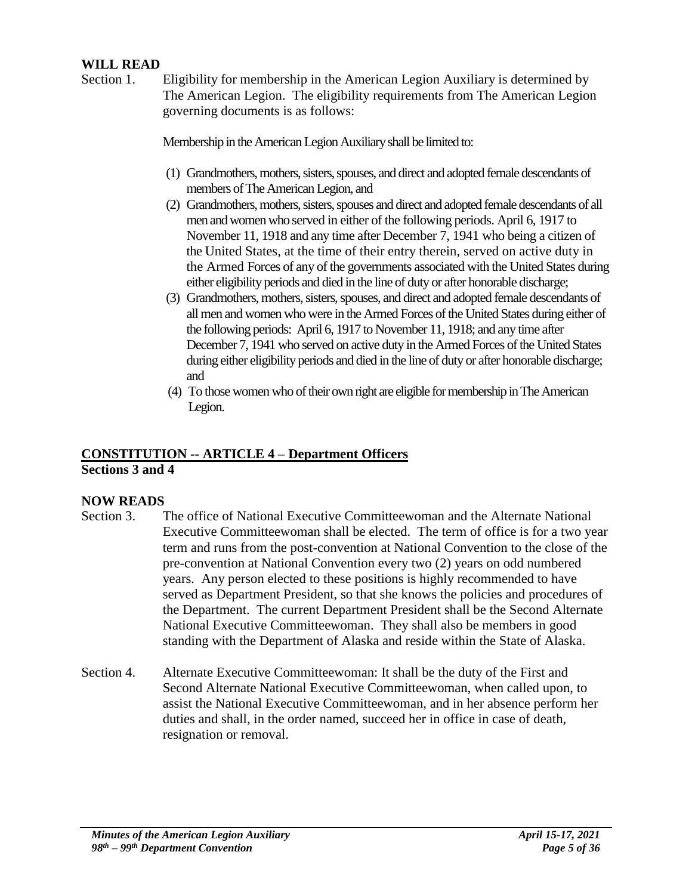### **WILL READ**

Section 1. Eligibility for membership in the American Legion Auxiliary is determined by The American Legion. The eligibility requirements from The American Legion governing documents is as follows:

Membership in the American Legion Auxiliary shall be limited to:

- (1) Grandmothers, mothers, sisters, spouses, and direct and adopted female descendants of members of The American Legion, and
- (2) Grandmothers, mothers, sisters, spouses and direct and adopted female descendants of all men and women who served in either of the following periods. April 6, 1917 to November 11, 1918 and any time after December 7, 1941 who being a citizen of the United States, at the time of their entry therein, served on active duty in the Armed Forces of any of the governments associated with the United States during either eligibility periods and died in the line of duty or after honorable discharge;
- (3) Grandmothers, mothers, sisters, spouses, and direct and adopted female descendants of all men and women who were in the Armed Forces of the United States during either of the following periods: April 6, 1917 to November 11, 1918; and any time after December 7, 1941 who served on active duty in the Armed Forces of the United States during either eligibility periods and died in the line of duty or after honorable discharge; and
- (4) To those women who of their own right are eligible for membership in The American Legion.

# **CONSTITUTION -- ARTICLE 4 – Department Officers Sections 3 and 4**

### **NOW READS**

- Section 3. The office of National Executive Committeewoman and the Alternate National Executive Committeewoman shall be elected. The term of office is for a two year term and runs from the post-convention at National Convention to the close of the pre-convention at National Convention every two (2) years on odd numbered years. Any person elected to these positions is highly recommended to have served as Department President, so that she knows the policies and procedures of the Department. The current Department President shall be the Second Alternate National Executive Committeewoman. They shall also be members in good standing with the Department of Alaska and reside within the State of Alaska.
- Section 4. Alternate Executive Committeewoman: It shall be the duty of the First and Second Alternate National Executive Committeewoman, when called upon, to assist the National Executive Committeewoman, and in her absence perform her duties and shall, in the order named, succeed her in office in case of death, resignation or removal.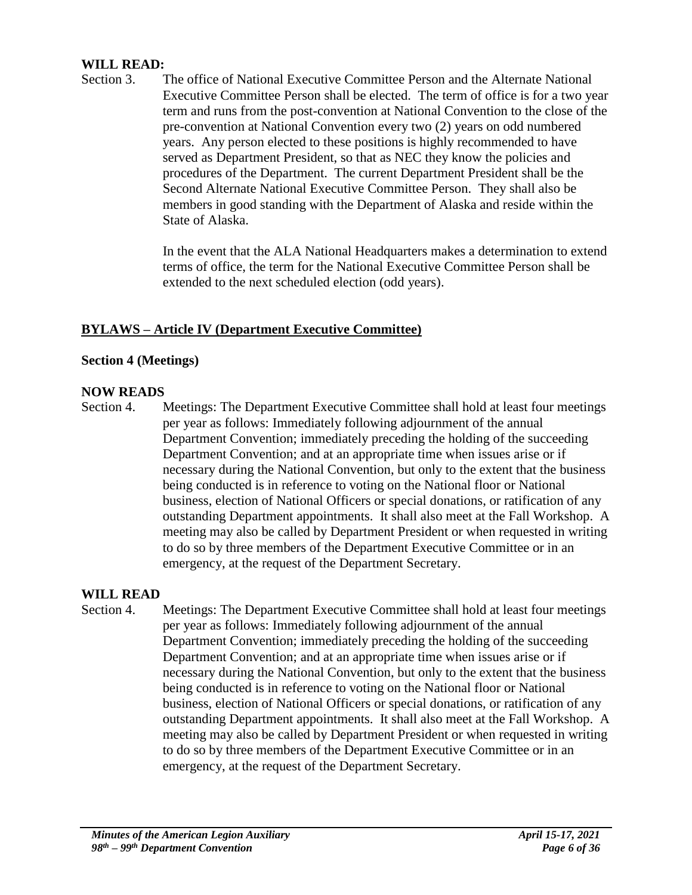### **WILL READ:**

Section 3. The office of National Executive Committee Person and the Alternate National Executive Committee Person shall be elected. The term of office is for a two year term and runs from the post-convention at National Convention to the close of the pre-convention at National Convention every two (2) years on odd numbered years. Any person elected to these positions is highly recommended to have served as Department President, so that as NEC they know the policies and procedures of the Department. The current Department President shall be the Second Alternate National Executive Committee Person. They shall also be members in good standing with the Department of Alaska and reside within the State of Alaska.

> In the event that the ALA National Headquarters makes a determination to extend terms of office, the term for the National Executive Committee Person shall be extended to the next scheduled election (odd years).

## **BYLAWS – Article IV (Department Executive Committee)**

### **Section 4 (Meetings)**

### **NOW READS**

Section 4. Meetings: The Department Executive Committee shall hold at least four meetings per year as follows: Immediately following adjournment of the annual Department Convention; immediately preceding the holding of the succeeding Department Convention; and at an appropriate time when issues arise or if necessary during the National Convention, but only to the extent that the business being conducted is in reference to voting on the National floor or National business, election of National Officers or special donations, or ratification of any outstanding Department appointments. It shall also meet at the Fall Workshop. A meeting may also be called by Department President or when requested in writing to do so by three members of the Department Executive Committee or in an emergency, at the request of the Department Secretary.

### **WILL READ**

Section 4. Meetings: The Department Executive Committee shall hold at least four meetings per year as follows: Immediately following adjournment of the annual Department Convention; immediately preceding the holding of the succeeding Department Convention; and at an appropriate time when issues arise or if necessary during the National Convention, but only to the extent that the business being conducted is in reference to voting on the National floor or National business, election of National Officers or special donations, or ratification of any outstanding Department appointments. It shall also meet at the Fall Workshop. A meeting may also be called by Department President or when requested in writing to do so by three members of the Department Executive Committee or in an emergency, at the request of the Department Secretary.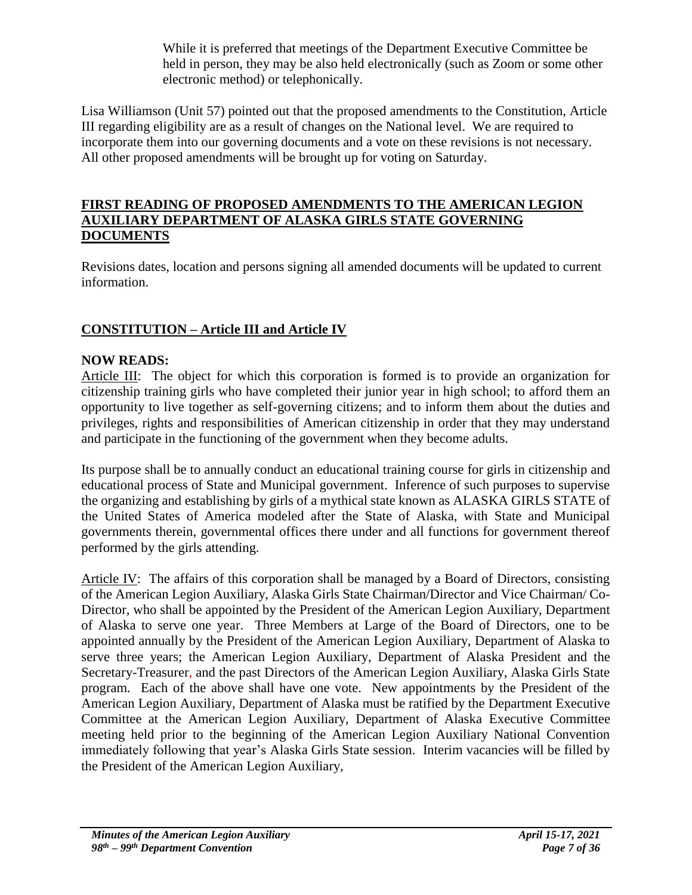While it is preferred that meetings of the Department Executive Committee be held in person, they may be also held electronically (such as Zoom or some other electronic method) or telephonically.

Lisa Williamson (Unit 57) pointed out that the proposed amendments to the Constitution, Article III regarding eligibility are as a result of changes on the National level. We are required to incorporate them into our governing documents and a vote on these revisions is not necessary. All other proposed amendments will be brought up for voting on Saturday.

### **FIRST READING OF PROPOSED AMENDMENTS TO THE AMERICAN LEGION AUXILIARY DEPARTMENT OF ALASKA GIRLS STATE GOVERNING DOCUMENTS**

Revisions dates, location and persons signing all amended documents will be updated to current information.

# **CONSTITUTION – Article III and Article IV**

# **NOW READS:**

Article III: The object for which this corporation is formed is to provide an organization for citizenship training girls who have completed their junior year in high school; to afford them an opportunity to live together as self-governing citizens; and to inform them about the duties and privileges, rights and responsibilities of American citizenship in order that they may understand and participate in the functioning of the government when they become adults.

Its purpose shall be to annually conduct an educational training course for girls in citizenship and educational process of State and Municipal government. Inference of such purposes to supervise the organizing and establishing by girls of a mythical state known as ALASKA GIRLS STATE of the United States of America modeled after the State of Alaska, with State and Municipal governments therein, governmental offices there under and all functions for government thereof performed by the girls attending.

Article IV: The affairs of this corporation shall be managed by a Board of Directors, consisting of the American Legion Auxiliary, Alaska Girls State Chairman/Director and Vice Chairman/ Co-Director, who shall be appointed by the President of the American Legion Auxiliary, Department of Alaska to serve one year. Three Members at Large of the Board of Directors, one to be appointed annually by the President of the American Legion Auxiliary, Department of Alaska to serve three years; the American Legion Auxiliary, Department of Alaska President and the Secretary-Treasurer, and the past Directors of the American Legion Auxiliary, Alaska Girls State program. Each of the above shall have one vote. New appointments by the President of the American Legion Auxiliary, Department of Alaska must be ratified by the Department Executive Committee at the American Legion Auxiliary, Department of Alaska Executive Committee meeting held prior to the beginning of the American Legion Auxiliary National Convention immediately following that year's Alaska Girls State session. Interim vacancies will be filled by the President of the American Legion Auxiliary,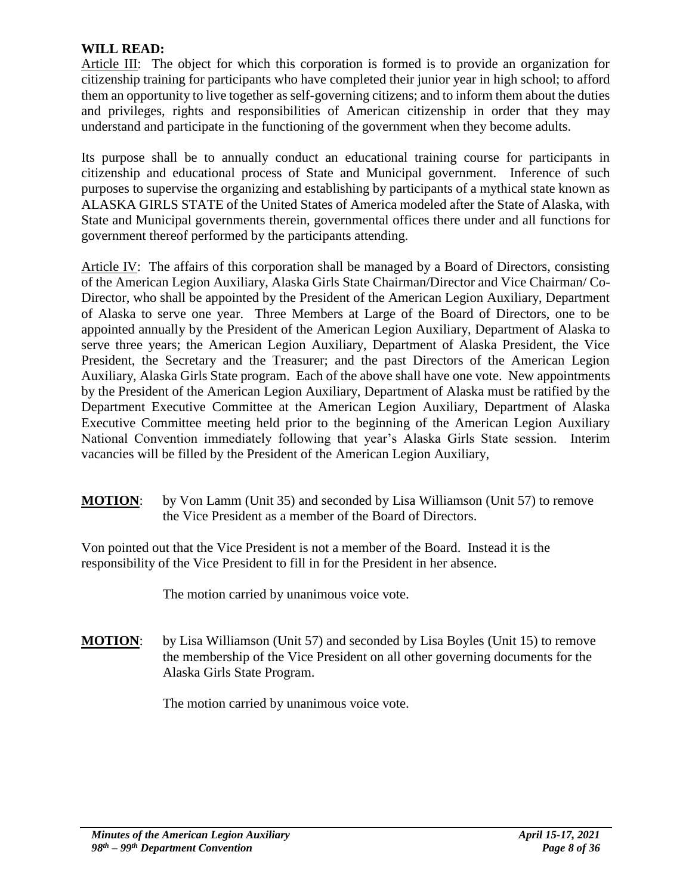### **WILL READ:**

Article III: The object for which this corporation is formed is to provide an organization for citizenship training for participants who have completed their junior year in high school; to afford them an opportunity to live together as self-governing citizens; and to inform them about the duties and privileges, rights and responsibilities of American citizenship in order that they may understand and participate in the functioning of the government when they become adults.

Its purpose shall be to annually conduct an educational training course for participants in citizenship and educational process of State and Municipal government. Inference of such purposes to supervise the organizing and establishing by participants of a mythical state known as ALASKA GIRLS STATE of the United States of America modeled after the State of Alaska, with State and Municipal governments therein, governmental offices there under and all functions for government thereof performed by the participants attending.

Article IV: The affairs of this corporation shall be managed by a Board of Directors, consisting of the American Legion Auxiliary, Alaska Girls State Chairman/Director and Vice Chairman/ Co-Director, who shall be appointed by the President of the American Legion Auxiliary, Department of Alaska to serve one year. Three Members at Large of the Board of Directors, one to be appointed annually by the President of the American Legion Auxiliary, Department of Alaska to serve three years; the American Legion Auxiliary, Department of Alaska President, the Vice President, the Secretary and the Treasurer; and the past Directors of the American Legion Auxiliary, Alaska Girls State program. Each of the above shall have one vote. New appointments by the President of the American Legion Auxiliary, Department of Alaska must be ratified by the Department Executive Committee at the American Legion Auxiliary, Department of Alaska Executive Committee meeting held prior to the beginning of the American Legion Auxiliary National Convention immediately following that year's Alaska Girls State session. Interim vacancies will be filled by the President of the American Legion Auxiliary,

**MOTION:** by Von Lamm (Unit 35) and seconded by Lisa Williamson (Unit 57) to remove the Vice President as a member of the Board of Directors.

Von pointed out that the Vice President is not a member of the Board. Instead it is the responsibility of the Vice President to fill in for the President in her absence.

The motion carried by unanimous voice vote.

**MOTION:** by Lisa Williamson (Unit 57) and seconded by Lisa Boyles (Unit 15) to remove the membership of the Vice President on all other governing documents for the Alaska Girls State Program.

The motion carried by unanimous voice vote.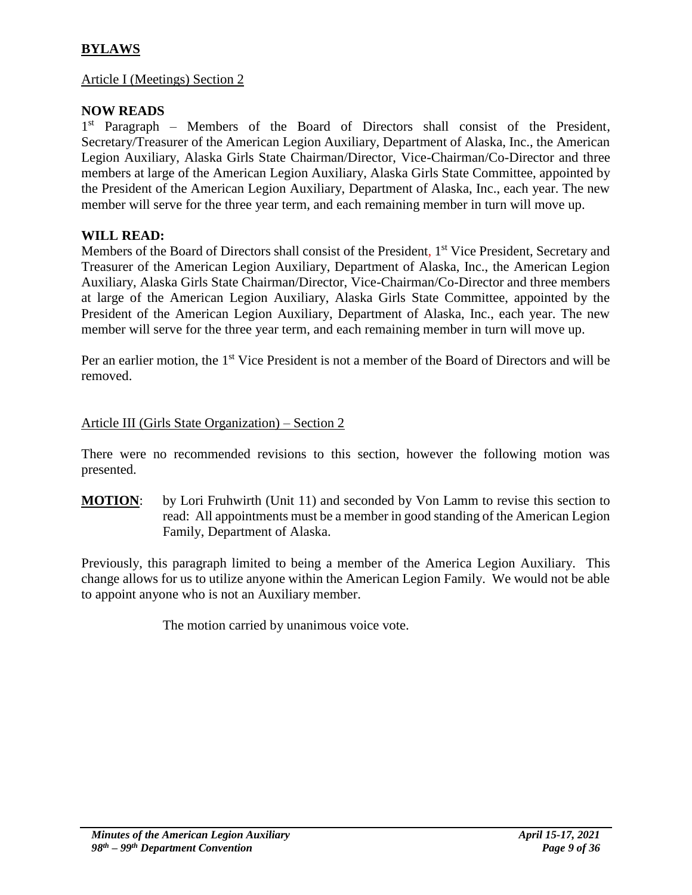# **BYLAWS**

### Article I (Meetings) Section 2

# **NOW READS**

1<sup>st</sup> Paragraph – Members of the Board of Directors shall consist of the President, Secretary/Treasurer of the American Legion Auxiliary, Department of Alaska, Inc., the American Legion Auxiliary, Alaska Girls State Chairman/Director, Vice-Chairman/Co-Director and three members at large of the American Legion Auxiliary, Alaska Girls State Committee, appointed by the President of the American Legion Auxiliary, Department of Alaska, Inc., each year. The new member will serve for the three year term, and each remaining member in turn will move up.

## **WILL READ:**

Members of the Board of Directors shall consist of the President, 1<sup>st</sup> Vice President, Secretary and Treasurer of the American Legion Auxiliary, Department of Alaska, Inc., the American Legion Auxiliary, Alaska Girls State Chairman/Director, Vice-Chairman/Co-Director and three members at large of the American Legion Auxiliary, Alaska Girls State Committee, appointed by the President of the American Legion Auxiliary, Department of Alaska, Inc., each year. The new member will serve for the three year term, and each remaining member in turn will move up.

Per an earlier motion, the 1<sup>st</sup> Vice President is not a member of the Board of Directors and will be removed.

### Article III (Girls State Organization) – Section 2

There were no recommended revisions to this section, however the following motion was presented.

**MOTION**: by Lori Fruhwirth (Unit 11) and seconded by Von Lamm to revise this section to read: All appointments must be a member in good standing of the American Legion Family, Department of Alaska.

Previously, this paragraph limited to being a member of the America Legion Auxiliary. This change allows for us to utilize anyone within the American Legion Family. We would not be able to appoint anyone who is not an Auxiliary member.

The motion carried by unanimous voice vote.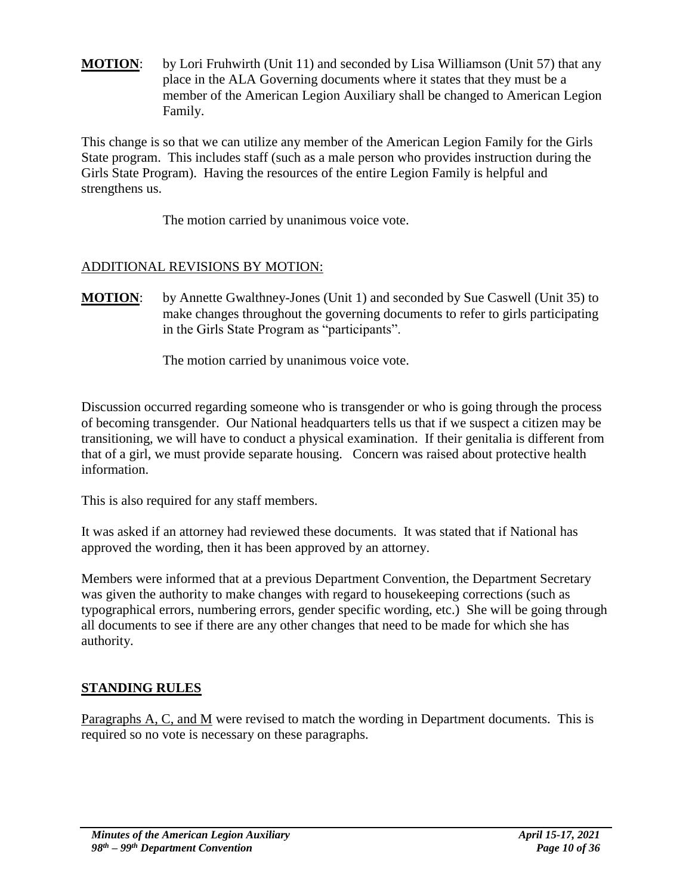**MOTION:** by Lori Fruhwirth (Unit 11) and seconded by Lisa Williamson (Unit 57) that any place in the ALA Governing documents where it states that they must be a member of the American Legion Auxiliary shall be changed to American Legion Family.

This change is so that we can utilize any member of the American Legion Family for the Girls State program. This includes staff (such as a male person who provides instruction during the Girls State Program). Having the resources of the entire Legion Family is helpful and strengthens us.

The motion carried by unanimous voice vote.

# ADDITIONAL REVISIONS BY MOTION:

**MOTION:** by Annette Gwalthney-Jones (Unit 1) and seconded by Sue Caswell (Unit 35) to make changes throughout the governing documents to refer to girls participating in the Girls State Program as "participants".

The motion carried by unanimous voice vote.

Discussion occurred regarding someone who is transgender or who is going through the process of becoming transgender. Our National headquarters tells us that if we suspect a citizen may be transitioning, we will have to conduct a physical examination. If their genitalia is different from that of a girl, we must provide separate housing. Concern was raised about protective health information.

This is also required for any staff members.

It was asked if an attorney had reviewed these documents. It was stated that if National has approved the wording, then it has been approved by an attorney.

Members were informed that at a previous Department Convention, the Department Secretary was given the authority to make changes with regard to housekeeping corrections (such as typographical errors, numbering errors, gender specific wording, etc.) She will be going through all documents to see if there are any other changes that need to be made for which she has authority.

# **STANDING RULES**

Paragraphs A, C, and M were revised to match the wording in Department documents. This is required so no vote is necessary on these paragraphs.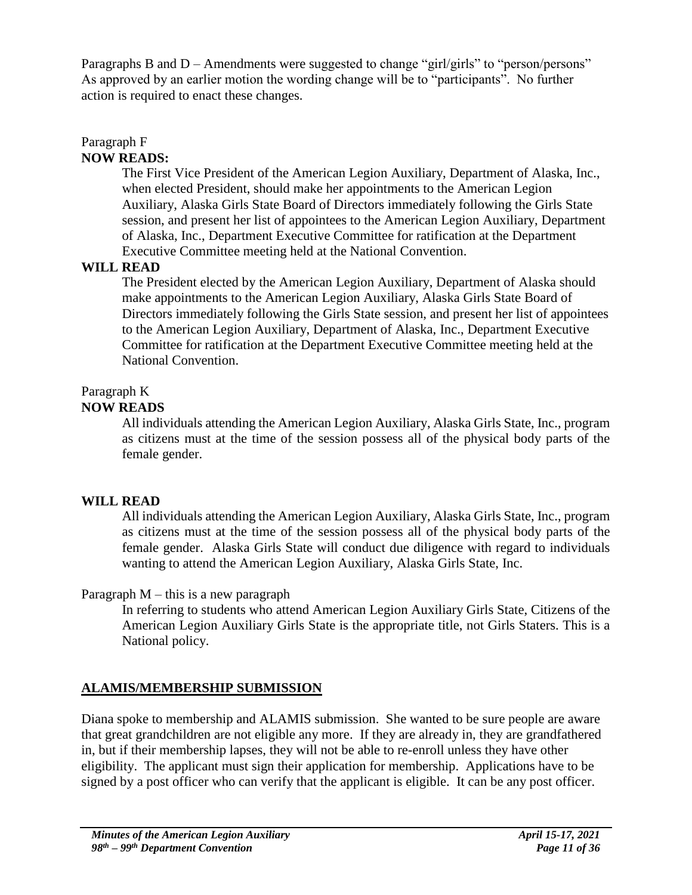Paragraphs B and D – Amendments were suggested to change "girl/girls" to "person/persons" As approved by an earlier motion the wording change will be to "participants". No further action is required to enact these changes.

# Paragraph F

# **NOW READS:**

The First Vice President of the American Legion Auxiliary, Department of Alaska, Inc., when elected President, should make her appointments to the American Legion Auxiliary, Alaska Girls State Board of Directors immediately following the Girls State session, and present her list of appointees to the American Legion Auxiliary, Department of Alaska, Inc., Department Executive Committee for ratification at the Department Executive Committee meeting held at the National Convention.

# **WILL READ**

The President elected by the American Legion Auxiliary, Department of Alaska should make appointments to the American Legion Auxiliary, Alaska Girls State Board of Directors immediately following the Girls State session, and present her list of appointees to the American Legion Auxiliary, Department of Alaska, Inc., Department Executive Committee for ratification at the Department Executive Committee meeting held at the National Convention.

# Paragraph K

# **NOW READS**

All individuals attending the American Legion Auxiliary, Alaska Girls State, Inc., program as citizens must at the time of the session possess all of the physical body parts of the female gender.

# **WILL READ**

All individuals attending the American Legion Auxiliary, Alaska Girls State, Inc., program as citizens must at the time of the session possess all of the physical body parts of the female gender. Alaska Girls State will conduct due diligence with regard to individuals wanting to attend the American Legion Auxiliary, Alaska Girls State, Inc.

# Paragraph  $M$  – this is a new paragraph

In referring to students who attend American Legion Auxiliary Girls State, Citizens of the American Legion Auxiliary Girls State is the appropriate title, not Girls Staters. This is a National policy.

# **ALAMIS/MEMBERSHIP SUBMISSION**

Diana spoke to membership and ALAMIS submission. She wanted to be sure people are aware that great grandchildren are not eligible any more. If they are already in, they are grandfathered in, but if their membership lapses, they will not be able to re-enroll unless they have other eligibility. The applicant must sign their application for membership. Applications have to be signed by a post officer who can verify that the applicant is eligible. It can be any post officer.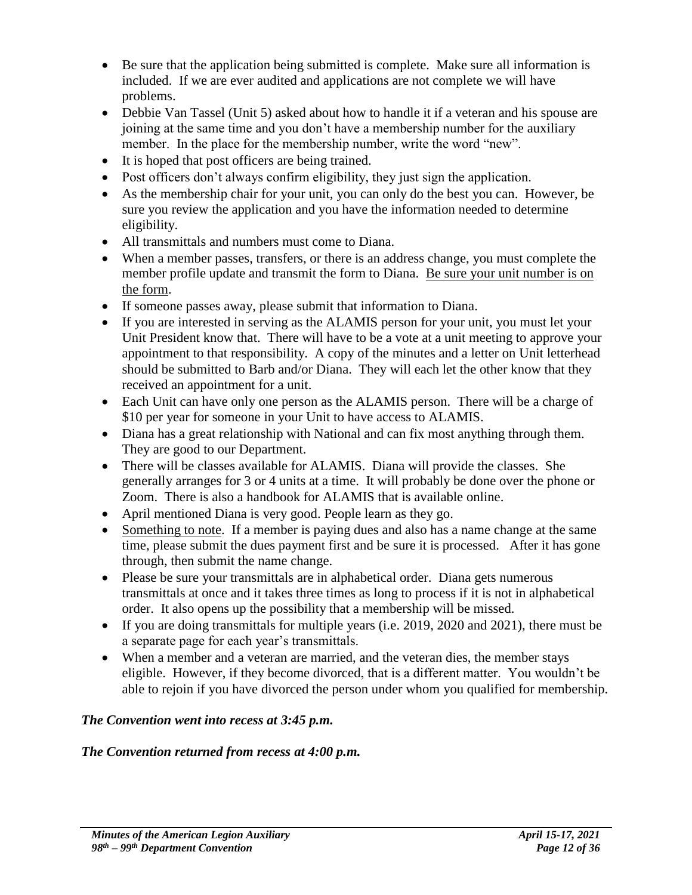- Be sure that the application being submitted is complete. Make sure all information is included. If we are ever audited and applications are not complete we will have problems.
- Debbie Van Tassel (Unit 5) asked about how to handle it if a veteran and his spouse are joining at the same time and you don't have a membership number for the auxiliary member. In the place for the membership number, write the word "new".
- It is hoped that post officers are being trained.
- Post officers don't always confirm eligibility, they just sign the application.
- As the membership chair for your unit, you can only do the best you can. However, be sure you review the application and you have the information needed to determine eligibility.
- All transmittals and numbers must come to Diana.
- When a member passes, transfers, or there is an address change, you must complete the member profile update and transmit the form to Diana. Be sure your unit number is on the form.
- If someone passes away, please submit that information to Diana.
- If you are interested in serving as the ALAMIS person for your unit, you must let your Unit President know that. There will have to be a vote at a unit meeting to approve your appointment to that responsibility. A copy of the minutes and a letter on Unit letterhead should be submitted to Barb and/or Diana. They will each let the other know that they received an appointment for a unit.
- Each Unit can have only one person as the ALAMIS person. There will be a charge of \$10 per year for someone in your Unit to have access to ALAMIS.
- Diana has a great relationship with National and can fix most anything through them. They are good to our Department.
- There will be classes available for ALAMIS. Diana will provide the classes. She generally arranges for 3 or 4 units at a time. It will probably be done over the phone or Zoom. There is also a handbook for ALAMIS that is available online.
- April mentioned Diana is very good. People learn as they go.
- Something to note. If a member is paying dues and also has a name change at the same time, please submit the dues payment first and be sure it is processed. After it has gone through, then submit the name change.
- Please be sure your transmittals are in alphabetical order. Diana gets numerous transmittals at once and it takes three times as long to process if it is not in alphabetical order. It also opens up the possibility that a membership will be missed.
- If you are doing transmittals for multiple years (i.e. 2019, 2020 and 2021), there must be a separate page for each year's transmittals.
- When a member and a veteran are married, and the veteran dies, the member stays eligible. However, if they become divorced, that is a different matter. You wouldn't be able to rejoin if you have divorced the person under whom you qualified for membership.

# *The Convention went into recess at 3:45 p.m.*

# *The Convention returned from recess at 4:00 p.m.*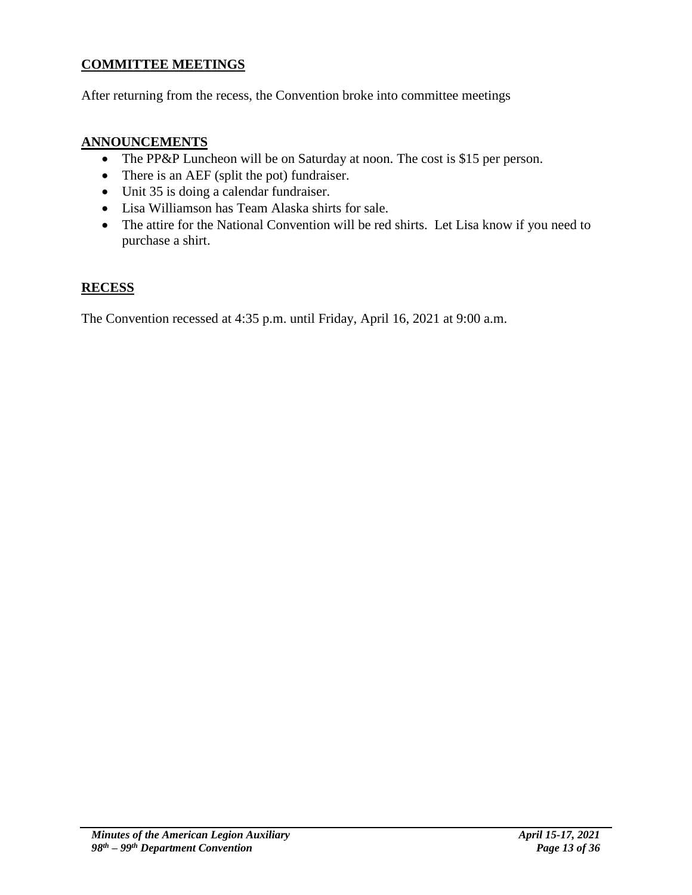# **COMMITTEE MEETINGS**

After returning from the recess, the Convention broke into committee meetings

## **ANNOUNCEMENTS**

- The PP&P Luncheon will be on Saturday at noon. The cost is \$15 per person.
- There is an AEF (split the pot) fundraiser.
- Unit 35 is doing a calendar fundraiser.
- Lisa Williamson has Team Alaska shirts for sale.
- The attire for the National Convention will be red shirts. Let Lisa know if you need to purchase a shirt.

## **RECESS**

The Convention recessed at 4:35 p.m. until Friday, April 16, 2021 at 9:00 a.m.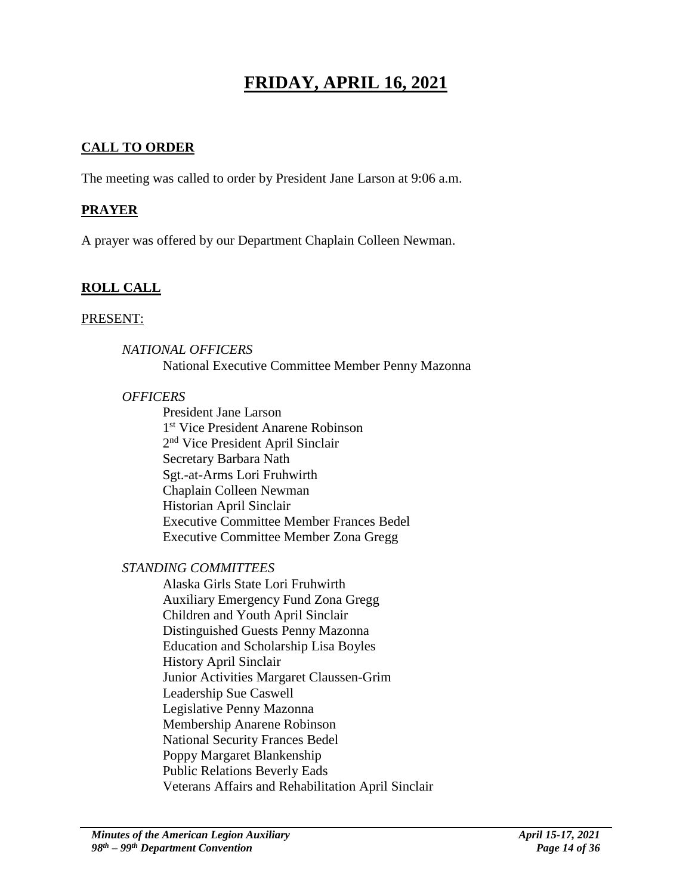# **FRIDAY, APRIL 16, 2021**

# **CALL TO ORDER**

The meeting was called to order by President Jane Larson at 9:06 a.m.

### **PRAYER**

A prayer was offered by our Department Chaplain Colleen Newman.

# **ROLL CALL**

#### PRESENT:

## *NATIONAL OFFICERS*

National Executive Committee Member Penny Mazonna

#### *OFFICERS*

President Jane Larson 1 st Vice President Anarene Robinson 2<sup>nd</sup> Vice President April Sinclair Secretary Barbara Nath Sgt.-at-Arms Lori Fruhwirth Chaplain Colleen Newman Historian April Sinclair Executive Committee Member Frances Bedel Executive Committee Member Zona Gregg

### *STANDING COMMITTEES*

Alaska Girls State Lori Fruhwirth Auxiliary Emergency Fund Zona Gregg Children and Youth April Sinclair Distinguished Guests Penny Mazonna Education and Scholarship Lisa Boyles History April Sinclair Junior Activities Margaret Claussen-Grim Leadership Sue Caswell Legislative Penny Mazonna Membership Anarene Robinson National Security Frances Bedel Poppy Margaret Blankenship Public Relations Beverly Eads Veterans Affairs and Rehabilitation April Sinclair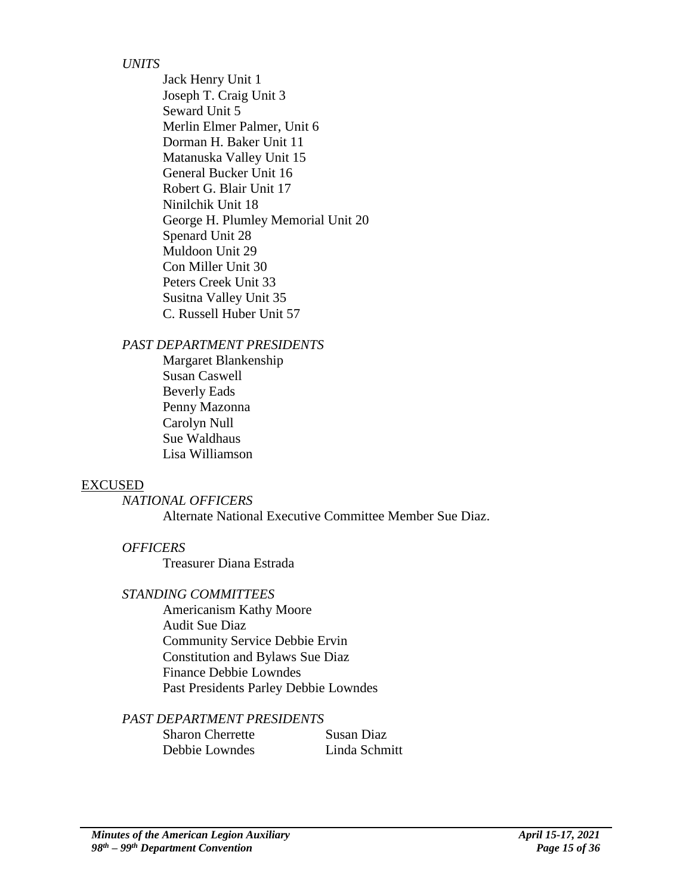### *UNITS*

Jack Henry Unit 1 Joseph T. Craig Unit 3 Seward Unit 5 Merlin Elmer Palmer, Unit 6 Dorman H. Baker Unit 11 Matanuska Valley Unit 15 General Bucker Unit 16 Robert G. Blair Unit 17 Ninilchik Unit 18 George H. Plumley Memorial Unit 20 Spenard Unit 28 Muldoon Unit 29 Con Miller Unit 30 Peters Creek Unit 33 Susitna Valley Unit 35 C. Russell Huber Unit 57

#### *PAST DEPARTMENT PRESIDENTS*

Margaret Blankenship Susan Caswell Beverly Eads Penny Mazonna Carolyn Null Sue Waldhaus Lisa Williamson

#### EXCUSED

### *NATIONAL OFFICERS*

Alternate National Executive Committee Member Sue Diaz.

### *OFFICERS*

Treasurer Diana Estrada

#### *STANDING COMMITTEES*

Americanism Kathy Moore Audit Sue Diaz Community Service Debbie Ervin Constitution and Bylaws Sue Diaz Finance Debbie Lowndes Past Presidents Parley Debbie Lowndes

### *PAST DEPARTMENT PRESIDENTS*

Sharon Cherrette Susan Diaz Debbie Lowndes Linda Schmitt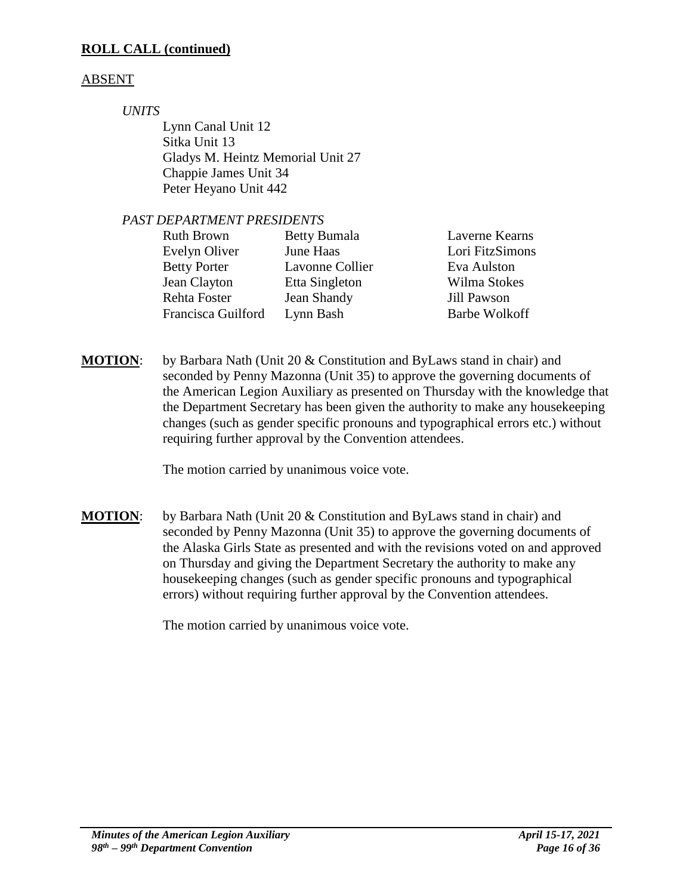# **ROLL CALL (continued)**

# ABSENT

# *UNITS*

Lynn Canal Unit 12 Sitka Unit 13 Gladys M. Heintz Memorial Unit 27 Chappie James Unit 34 Peter Heyano Unit 442

# *PAST DEPARTMENT PRESIDENTS*

| <b>Ruth Brown</b>   | <b>Betty Bumala</b> | Laverne Kearns       |
|---------------------|---------------------|----------------------|
| Evelyn Oliver       | June Haas           | Lori FitzSimons      |
| <b>Betty Porter</b> | Lavonne Collier     | Eva Aulston          |
| Jean Clayton        | Etta Singleton      | Wilma Stokes         |
| Rehta Foster        | Jean Shandy         | Jill Pawson          |
| Francisca Guilford  | Lynn Bash           | <b>Barbe Wolkoff</b> |
|                     |                     |                      |

**MOTION**: by Barbara Nath (Unit 20 & Constitution and ByLaws stand in chair) and seconded by Penny Mazonna (Unit 35) to approve the governing documents of the American Legion Auxiliary as presented on Thursday with the knowledge that the Department Secretary has been given the authority to make any housekeeping changes (such as gender specific pronouns and typographical errors etc.) without requiring further approval by the Convention attendees.

The motion carried by unanimous voice vote.

**MOTION**: by Barbara Nath (Unit 20 & Constitution and ByLaws stand in chair) and seconded by Penny Mazonna (Unit 35) to approve the governing documents of the Alaska Girls State as presented and with the revisions voted on and approved on Thursday and giving the Department Secretary the authority to make any housekeeping changes (such as gender specific pronouns and typographical errors) without requiring further approval by the Convention attendees.

The motion carried by unanimous voice vote.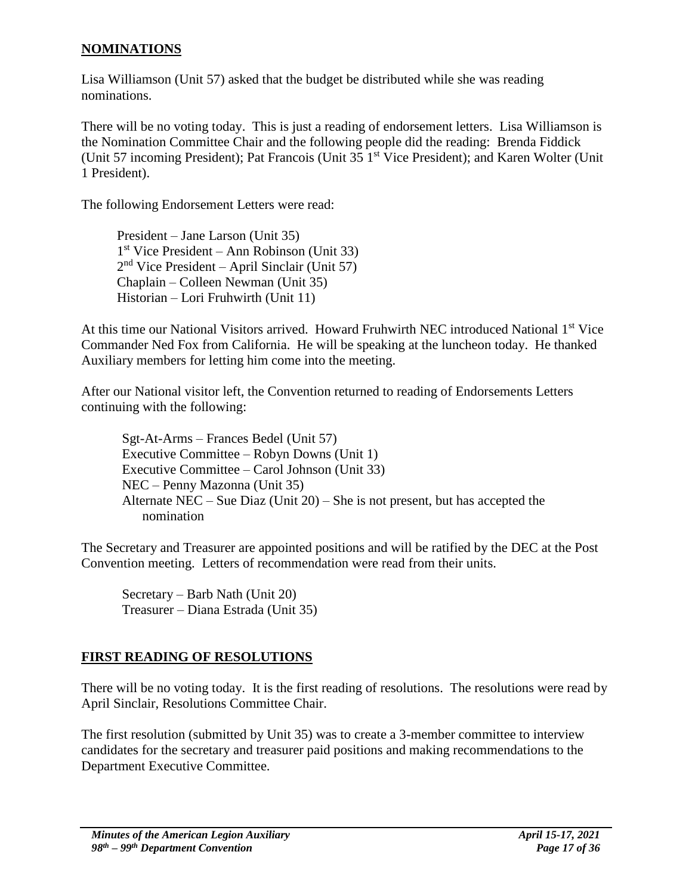### **NOMINATIONS**

Lisa Williamson (Unit 57) asked that the budget be distributed while she was reading nominations.

There will be no voting today. This is just a reading of endorsement letters. Lisa Williamson is the Nomination Committee Chair and the following people did the reading: Brenda Fiddick (Unit 57 incoming President); Pat Francois (Unit 35 1<sup>st</sup> Vice President); and Karen Wolter (Unit 1 President).

The following Endorsement Letters were read:

President – Jane Larson (Unit 35) 1 st Vice President – Ann Robinson (Unit 33) 2 nd Vice President – April Sinclair (Unit 57) Chaplain – Colleen Newman (Unit 35) Historian – Lori Fruhwirth (Unit 11)

At this time our National Visitors arrived. Howard Fruhwirth NEC introduced National 1<sup>st</sup> Vice Commander Ned Fox from California. He will be speaking at the luncheon today. He thanked Auxiliary members for letting him come into the meeting.

After our National visitor left, the Convention returned to reading of Endorsements Letters continuing with the following:

Sgt-At-Arms – Frances Bedel (Unit 57) Executive Committee – Robyn Downs (Unit 1) Executive Committee – Carol Johnson (Unit 33) NEC – Penny Mazonna (Unit 35) Alternate NEC – Sue Diaz (Unit 20) – She is not present, but has accepted the nomination

The Secretary and Treasurer are appointed positions and will be ratified by the DEC at the Post Convention meeting. Letters of recommendation were read from their units.

Secretary – Barb Nath (Unit 20) Treasurer – Diana Estrada (Unit 35)

# **FIRST READING OF RESOLUTIONS**

There will be no voting today. It is the first reading of resolutions. The resolutions were read by April Sinclair, Resolutions Committee Chair.

The first resolution (submitted by Unit 35) was to create a 3-member committee to interview candidates for the secretary and treasurer paid positions and making recommendations to the Department Executive Committee.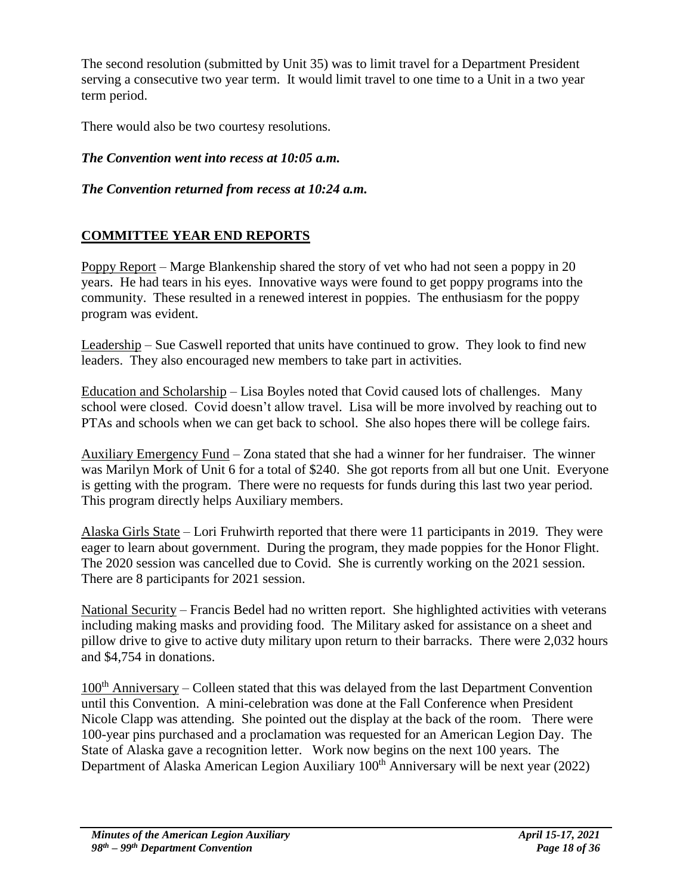The second resolution (submitted by Unit 35) was to limit travel for a Department President serving a consecutive two year term. It would limit travel to one time to a Unit in a two year term period.

There would also be two courtesy resolutions.

*The Convention went into recess at 10:05 a.m.*

*The Convention returned from recess at 10:24 a.m.*

# **COMMITTEE YEAR END REPORTS**

Poppy Report – Marge Blankenship shared the story of vet who had not seen a poppy in 20 years. He had tears in his eyes. Innovative ways were found to get poppy programs into the community. These resulted in a renewed interest in poppies. The enthusiasm for the poppy program was evident.

Leadership – Sue Caswell reported that units have continued to grow. They look to find new leaders. They also encouraged new members to take part in activities.

Education and Scholarship – Lisa Boyles noted that Covid caused lots of challenges. Many school were closed. Covid doesn't allow travel. Lisa will be more involved by reaching out to PTAs and schools when we can get back to school. She also hopes there will be college fairs.

Auxiliary Emergency Fund – Zona stated that she had a winner for her fundraiser. The winner was Marilyn Mork of Unit 6 for a total of \$240. She got reports from all but one Unit. Everyone is getting with the program. There were no requests for funds during this last two year period. This program directly helps Auxiliary members.

Alaska Girls State – Lori Fruhwirth reported that there were 11 participants in 2019. They were eager to learn about government. During the program, they made poppies for the Honor Flight. The 2020 session was cancelled due to Covid. She is currently working on the 2021 session. There are 8 participants for 2021 session.

National Security – Francis Bedel had no written report. She highlighted activities with veterans including making masks and providing food. The Military asked for assistance on a sheet and pillow drive to give to active duty military upon return to their barracks. There were 2,032 hours and \$4,754 in donations.

 $100<sup>th</sup>$  Anniversary – Colleen stated that this was delayed from the last Department Convention until this Convention. A mini-celebration was done at the Fall Conference when President Nicole Clapp was attending. She pointed out the display at the back of the room. There were 100-year pins purchased and a proclamation was requested for an American Legion Day. The State of Alaska gave a recognition letter. Work now begins on the next 100 years. The Department of Alaska American Legion Auxiliary 100<sup>th</sup> Anniversary will be next year (2022)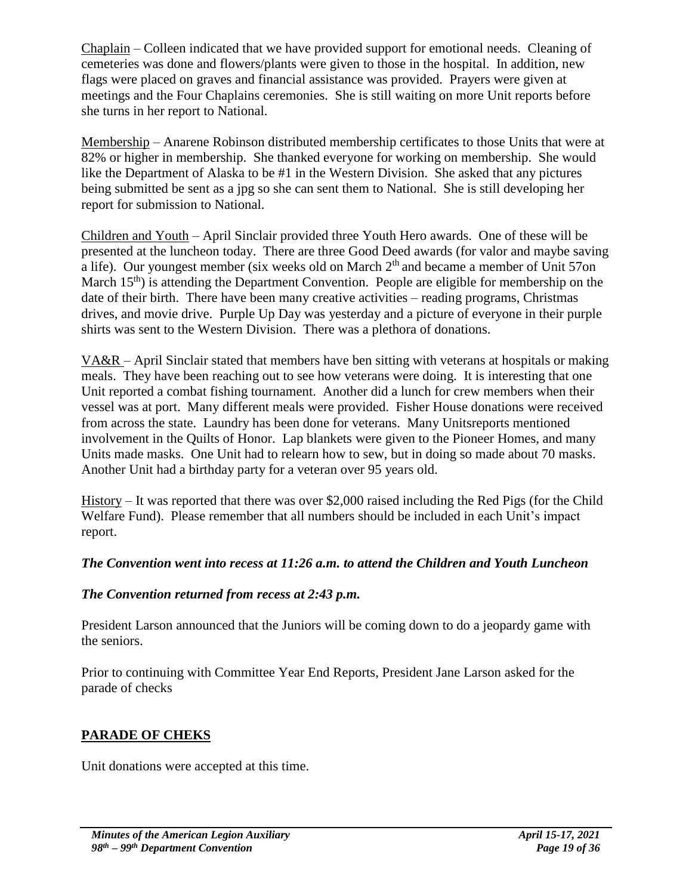Chaplain – Colleen indicated that we have provided support for emotional needs. Cleaning of cemeteries was done and flowers/plants were given to those in the hospital. In addition, new flags were placed on graves and financial assistance was provided. Prayers were given at meetings and the Four Chaplains ceremonies. She is still waiting on more Unit reports before she turns in her report to National.

Membership – Anarene Robinson distributed membership certificates to those Units that were at 82% or higher in membership. She thanked everyone for working on membership. She would like the Department of Alaska to be #1 in the Western Division. She asked that any pictures being submitted be sent as a jpg so she can sent them to National. She is still developing her report for submission to National.

Children and Youth – April Sinclair provided three Youth Hero awards. One of these will be presented at the luncheon today. There are three Good Deed awards (for valor and maybe saving a life). Our youngest member (six weeks old on March 2<sup>th</sup> and became a member of Unit 57on March 15<sup>th</sup>) is attending the Department Convention. People are eligible for membership on the date of their birth. There have been many creative activities – reading programs, Christmas drives, and movie drive. Purple Up Day was yesterday and a picture of everyone in their purple shirts was sent to the Western Division. There was a plethora of donations.

VA&R – April Sinclair stated that members have ben sitting with veterans at hospitals or making meals. They have been reaching out to see how veterans were doing. It is interesting that one Unit reported a combat fishing tournament. Another did a lunch for crew members when their vessel was at port. Many different meals were provided. Fisher House donations were received from across the state. Laundry has been done for veterans. Many Unitsreports mentioned involvement in the Quilts of Honor. Lap blankets were given to the Pioneer Homes, and many Units made masks. One Unit had to relearn how to sew, but in doing so made about 70 masks. Another Unit had a birthday party for a veteran over 95 years old.

History – It was reported that there was over \$2,000 raised including the Red Pigs (for the Child Welfare Fund). Please remember that all numbers should be included in each Unit's impact report.

# *The Convention went into recess at 11:26 a.m. to attend the Children and Youth Luncheon*

# *The Convention returned from recess at 2:43 p.m.*

President Larson announced that the Juniors will be coming down to do a jeopardy game with the seniors.

Prior to continuing with Committee Year End Reports, President Jane Larson asked for the parade of checks

# **PARADE OF CHEKS**

Unit donations were accepted at this time.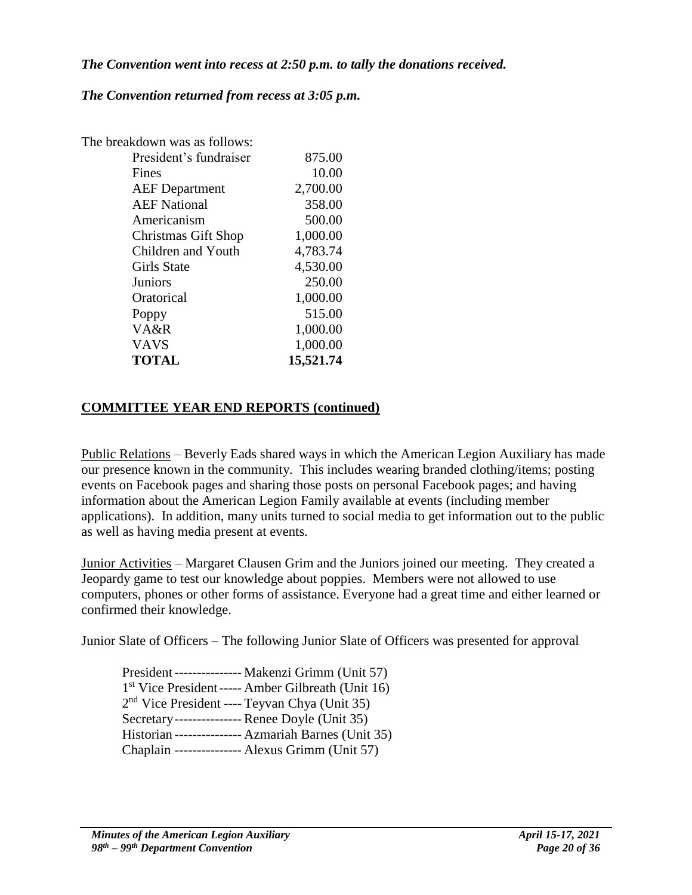#### *The Convention went into recess at 2:50 p.m. to tally the donations received.*

### *The Convention returned from recess at 3:05 p.m.*

| The breakdown was as follows: |           |
|-------------------------------|-----------|
| President's fundraiser        | 875.00    |
| Fines                         | 10.00     |
| <b>AEF</b> Department         | 2,700.00  |
| <b>AEF</b> National           | 358.00    |
| Americanism                   | 500.00    |
| <b>Christmas Gift Shop</b>    | 1,000.00  |
| Children and Youth            | 4,783.74  |
| <b>Girls State</b>            | 4,530.00  |
| Juniors                       | 250.00    |
| Oratorical                    | 1,000.00  |
| Poppy                         | 515.00    |
| VA&R                          | 1,000.00  |
| <b>VAVS</b>                   | 1,000.00  |
| <b>TOTAL</b>                  | 15,521.74 |

## **COMMITTEE YEAR END REPORTS (continued)**

Public Relations – Beverly Eads shared ways in which the American Legion Auxiliary has made our presence known in the community. This includes wearing branded clothing/items; posting events on Facebook pages and sharing those posts on personal Facebook pages; and having information about the American Legion Family available at events (including member applications). In addition, many units turned to social media to get information out to the public as well as having media present at events.

Junior Activities – Margaret Clausen Grim and the Juniors joined our meeting. They created a Jeopardy game to test our knowledge about poppies. Members were not allowed to use computers, phones or other forms of assistance. Everyone had a great time and either learned or confirmed their knowledge.

Junior Slate of Officers – The following Junior Slate of Officers was presented for approval

President--------------- Makenzi Grimm (Unit 57) 1 st Vice President----- Amber Gilbreath (Unit 16) 2<sup>nd</sup> Vice President ---- Teyvan Chya (Unit 35) Secretary--------------- Renee Doyle (Unit 35) Historian --------------- Azmariah Barnes (Unit 35) Chaplain --------------- Alexus Grimm (Unit 57)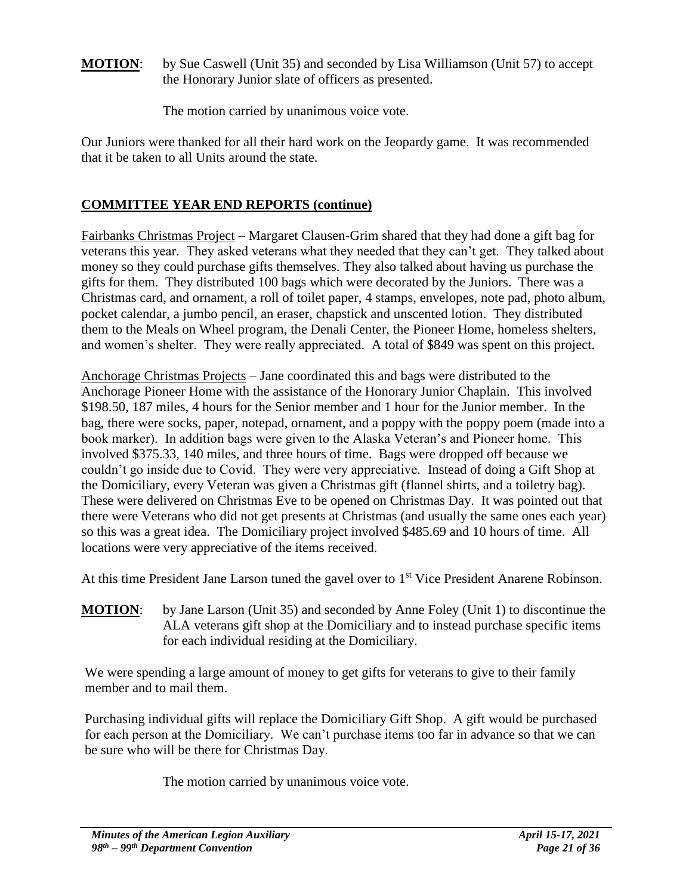**MOTION**: by Sue Caswell (Unit 35) and seconded by Lisa Williamson (Unit 57) to accept the Honorary Junior slate of officers as presented.

The motion carried by unanimous voice vote.

Our Juniors were thanked for all their hard work on the Jeopardy game. It was recommended that it be taken to all Units around the state.

# **COMMITTEE YEAR END REPORTS (continue)**

Fairbanks Christmas Project – Margaret Clausen-Grim shared that they had done a gift bag for veterans this year. They asked veterans what they needed that they can't get. They talked about money so they could purchase gifts themselves. They also talked about having us purchase the gifts for them. They distributed 100 bags which were decorated by the Juniors. There was a Christmas card, and ornament, a roll of toilet paper, 4 stamps, envelopes, note pad, photo album, pocket calendar, a jumbo pencil, an eraser, chapstick and unscented lotion. They distributed them to the Meals on Wheel program, the Denali Center, the Pioneer Home, homeless shelters, and women's shelter. They were really appreciated. A total of \$849 was spent on this project.

Anchorage Christmas Projects – Jane coordinated this and bags were distributed to the Anchorage Pioneer Home with the assistance of the Honorary Junior Chaplain. This involved \$198.50, 187 miles, 4 hours for the Senior member and 1 hour for the Junior member. In the bag, there were socks, paper, notepad, ornament, and a poppy with the poppy poem (made into a book marker). In addition bags were given to the Alaska Veteran's and Pioneer home. This involved \$375.33, 140 miles, and three hours of time. Bags were dropped off because we couldn't go inside due to Covid. They were very appreciative. Instead of doing a Gift Shop at the Domiciliary, every Veteran was given a Christmas gift (flannel shirts, and a toiletry bag). These were delivered on Christmas Eve to be opened on Christmas Day. It was pointed out that there were Veterans who did not get presents at Christmas (and usually the same ones each year) so this was a great idea. The Domiciliary project involved \$485.69 and 10 hours of time. All locations were very appreciative of the items received.

At this time President Jane Larson tuned the gavel over to 1<sup>st</sup> Vice President Anarene Robinson.

**MOTION**: by Jane Larson (Unit 35) and seconded by Anne Foley (Unit 1) to discontinue the ALA veterans gift shop at the Domiciliary and to instead purchase specific items for each individual residing at the Domiciliary.

We were spending a large amount of money to get gifts for veterans to give to their family member and to mail them.

Purchasing individual gifts will replace the Domiciliary Gift Shop. A gift would be purchased for each person at the Domiciliary. We can't purchase items too far in advance so that we can be sure who will be there for Christmas Day.

The motion carried by unanimous voice vote.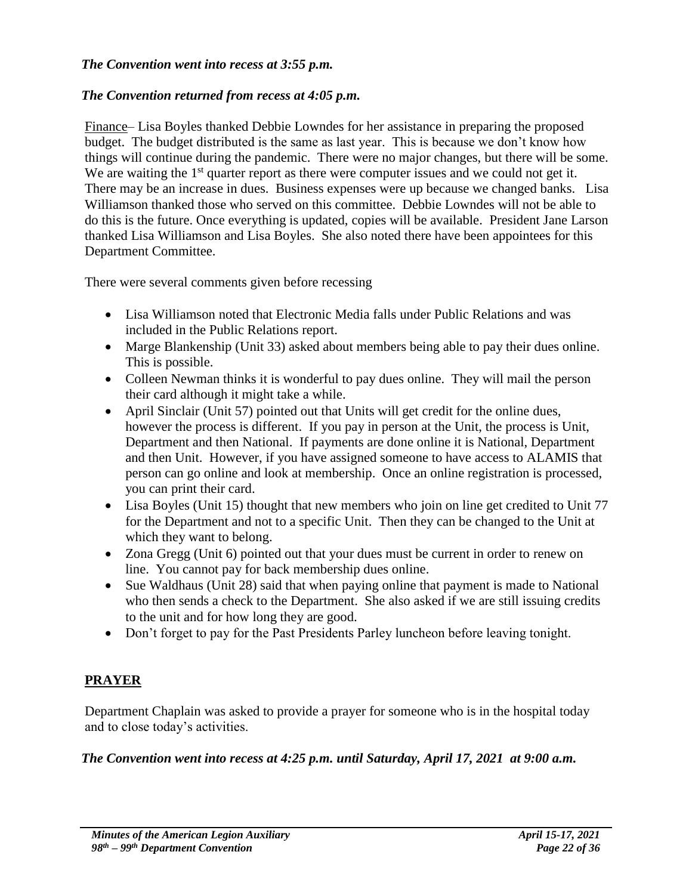### *The Convention went into recess at 3:55 p.m.*

### *The Convention returned from recess at 4:05 p.m.*

Finance– Lisa Boyles thanked Debbie Lowndes for her assistance in preparing the proposed budget. The budget distributed is the same as last year. This is because we don't know how things will continue during the pandemic. There were no major changes, but there will be some. We are waiting the  $1<sup>st</sup>$  quarter report as there were computer issues and we could not get it. There may be an increase in dues. Business expenses were up because we changed banks. Lisa Williamson thanked those who served on this committee. Debbie Lowndes will not be able to do this is the future. Once everything is updated, copies will be available. President Jane Larson thanked Lisa Williamson and Lisa Boyles. She also noted there have been appointees for this Department Committee.

There were several comments given before recessing

- Lisa Williamson noted that Electronic Media falls under Public Relations and was included in the Public Relations report.
- Marge Blankenship (Unit 33) asked about members being able to pay their dues online. This is possible.
- Colleen Newman thinks it is wonderful to pay dues online. They will mail the person their card although it might take a while.
- April Sinclair (Unit 57) pointed out that Units will get credit for the online dues, however the process is different. If you pay in person at the Unit, the process is Unit, Department and then National. If payments are done online it is National, Department and then Unit. However, if you have assigned someone to have access to ALAMIS that person can go online and look at membership. Once an online registration is processed, you can print their card.
- Lisa Boyles (Unit 15) thought that new members who join on line get credited to Unit 77 for the Department and not to a specific Unit. Then they can be changed to the Unit at which they want to belong.
- Zona Gregg (Unit 6) pointed out that your dues must be current in order to renew on line. You cannot pay for back membership dues online.
- Sue Waldhaus (Unit 28) said that when paying online that payment is made to National who then sends a check to the Department. She also asked if we are still issuing credits to the unit and for how long they are good.
- Don't forget to pay for the Past Presidents Parley luncheon before leaving tonight.

# **PRAYER**

Department Chaplain was asked to provide a prayer for someone who is in the hospital today and to close today's activities.

### *The Convention went into recess at 4:25 p.m. until Saturday, April 17, 2021 at 9:00 a.m.*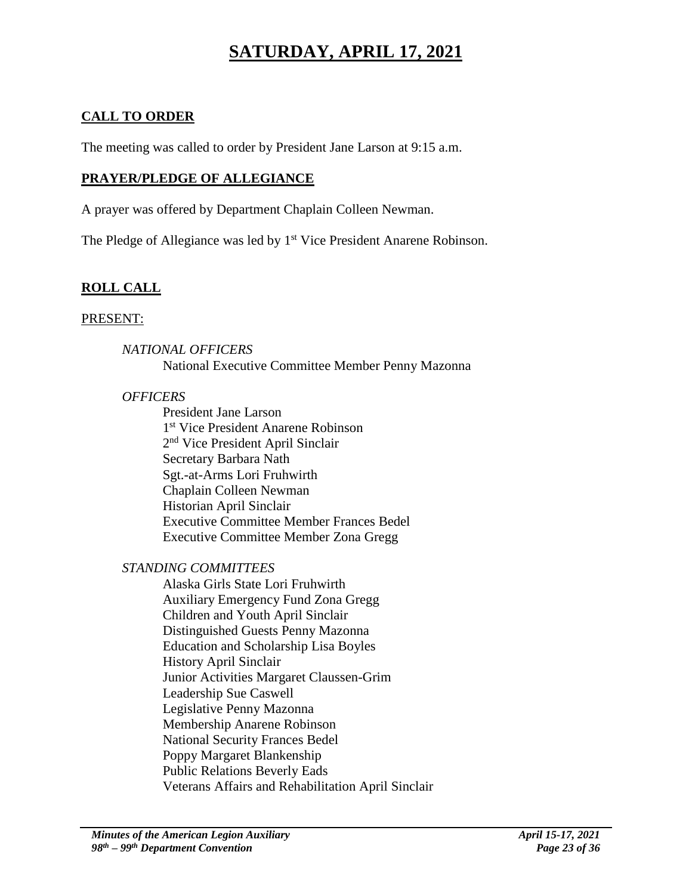# **SATURDAY, APRIL 17, 2021**

# **CALL TO ORDER**

The meeting was called to order by President Jane Larson at 9:15 a.m.

## **PRAYER/PLEDGE OF ALLEGIANCE**

A prayer was offered by Department Chaplain Colleen Newman.

The Pledge of Allegiance was led by 1<sup>st</sup> Vice President Anarene Robinson.

# **ROLL CALL**

#### PRESENT:

### *NATIONAL OFFICERS*

National Executive Committee Member Penny Mazonna

#### *OFFICERS*

President Jane Larson 1 st Vice President Anarene Robinson 2<sup>nd</sup> Vice President April Sinclair Secretary Barbara Nath Sgt.-at-Arms Lori Fruhwirth Chaplain Colleen Newman Historian April Sinclair Executive Committee Member Frances Bedel Executive Committee Member Zona Gregg

## *STANDING COMMITTEES*

Alaska Girls State Lori Fruhwirth Auxiliary Emergency Fund Zona Gregg Children and Youth April Sinclair Distinguished Guests Penny Mazonna Education and Scholarship Lisa Boyles History April Sinclair Junior Activities Margaret Claussen-Grim Leadership Sue Caswell Legislative Penny Mazonna Membership Anarene Robinson National Security Frances Bedel Poppy Margaret Blankenship Public Relations Beverly Eads Veterans Affairs and Rehabilitation April Sinclair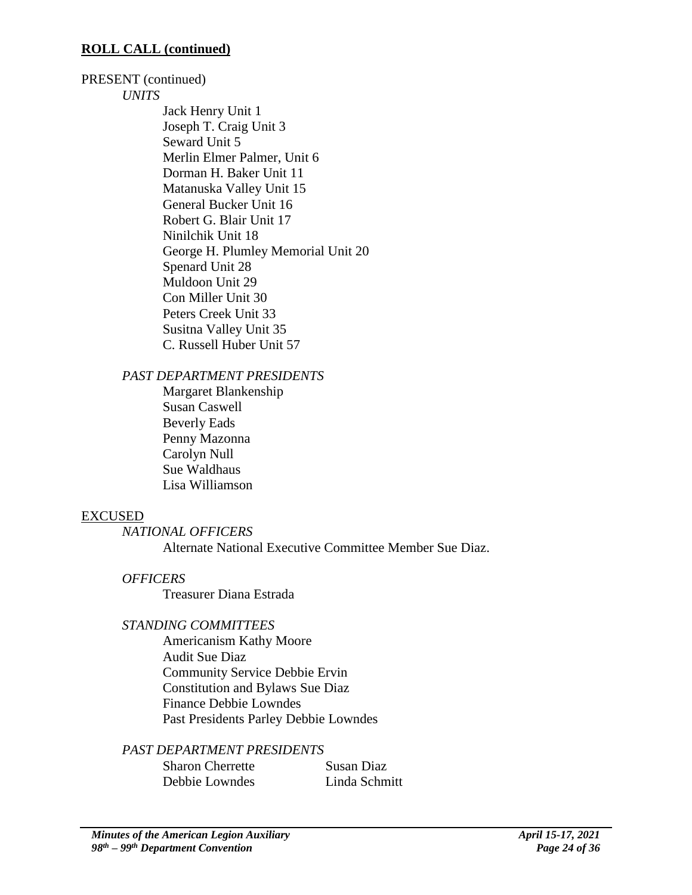### **ROLL CALL (continued)**

#### PRESENT (continued)

#### *UNITS*

Jack Henry Unit 1 Joseph T. Craig Unit 3 Seward Unit 5 Merlin Elmer Palmer, Unit 6 Dorman H. Baker Unit 11 Matanuska Valley Unit 15 General Bucker Unit 16 Robert G. Blair Unit 17 Ninilchik Unit 18 George H. Plumley Memorial Unit 20 Spenard Unit 28 Muldoon Unit 29 Con Miller Unit 30 Peters Creek Unit 33 Susitna Valley Unit 35 C. Russell Huber Unit 57

### *PAST DEPARTMENT PRESIDENTS*

Margaret Blankenship Susan Caswell Beverly Eads Penny Mazonna Carolyn Null Sue Waldhaus Lisa Williamson

### EXCUSED

*NATIONAL OFFICERS*

Alternate National Executive Committee Member Sue Diaz.

### *OFFICERS*

Treasurer Diana Estrada

### *STANDING COMMITTEES*

Americanism Kathy Moore Audit Sue Diaz Community Service Debbie Ervin Constitution and Bylaws Sue Diaz Finance Debbie Lowndes Past Presidents Parley Debbie Lowndes

*PAST DEPARTMENT PRESIDENTS*

| <b>Sharon Cherrette</b> | Susan Diaz    |
|-------------------------|---------------|
| Debbie Lowndes          | Linda Schmitt |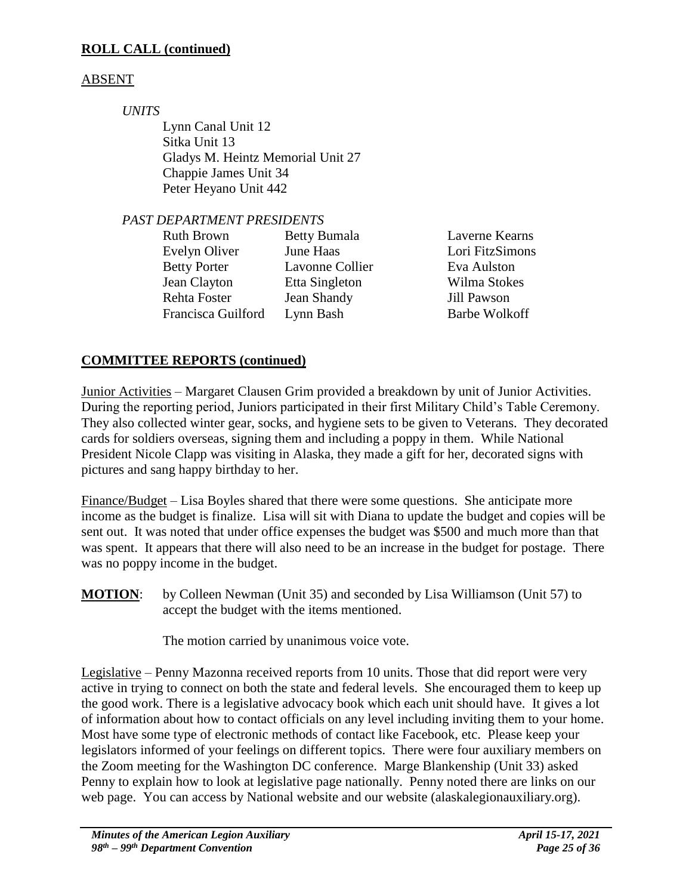# **ROLL CALL (continued)**

# ABSENT

*UNITS*

Lynn Canal Unit 12 Sitka Unit 13 Gladys M. Heintz Memorial Unit 27 Chappie James Unit 34 Peter Heyano Unit 442

# *PAST DEPARTMENT PRESIDENTS*

| <b>Ruth Brown</b>   | <b>Betty Bumala</b> | Laverne Kearns  |
|---------------------|---------------------|-----------------|
| Evelyn Oliver       | June Haas           | Lori FitzSimons |
| <b>Betty Porter</b> | Lavonne Collier     | Eva Aulston     |
| Jean Clayton        | Etta Singleton      | Wilma Stokes    |
| Rehta Foster        | Jean Shandy         | Jill Pawson     |
| Francisca Guilford  | Lynn Bash           | Barbe Wolkoff   |
|                     |                     |                 |

# **COMMITTEE REPORTS (continued)**

Junior Activities – Margaret Clausen Grim provided a breakdown by unit of Junior Activities. During the reporting period, Juniors participated in their first Military Child's Table Ceremony. They also collected winter gear, socks, and hygiene sets to be given to Veterans. They decorated cards for soldiers overseas, signing them and including a poppy in them. While National President Nicole Clapp was visiting in Alaska, they made a gift for her, decorated signs with pictures and sang happy birthday to her.

Finance/Budget – Lisa Boyles shared that there were some questions. She anticipate more income as the budget is finalize. Lisa will sit with Diana to update the budget and copies will be sent out. It was noted that under office expenses the budget was \$500 and much more than that was spent. It appears that there will also need to be an increase in the budget for postage. There was no poppy income in the budget.

**MOTION:** by Colleen Newman (Unit 35) and seconded by Lisa Williamson (Unit 57) to accept the budget with the items mentioned.

The motion carried by unanimous voice vote.

Legislative – Penny Mazonna received reports from 10 units. Those that did report were very active in trying to connect on both the state and federal levels. She encouraged them to keep up the good work. There is a legislative advocacy book which each unit should have. It gives a lot of information about how to contact officials on any level including inviting them to your home. Most have some type of electronic methods of contact like Facebook, etc. Please keep your legislators informed of your feelings on different topics. There were four auxiliary members on the Zoom meeting for the Washington DC conference. Marge Blankenship (Unit 33) asked Penny to explain how to look at legislative page nationally. Penny noted there are links on our web page. You can access by National website and our website (alaskalegionauxiliary.org).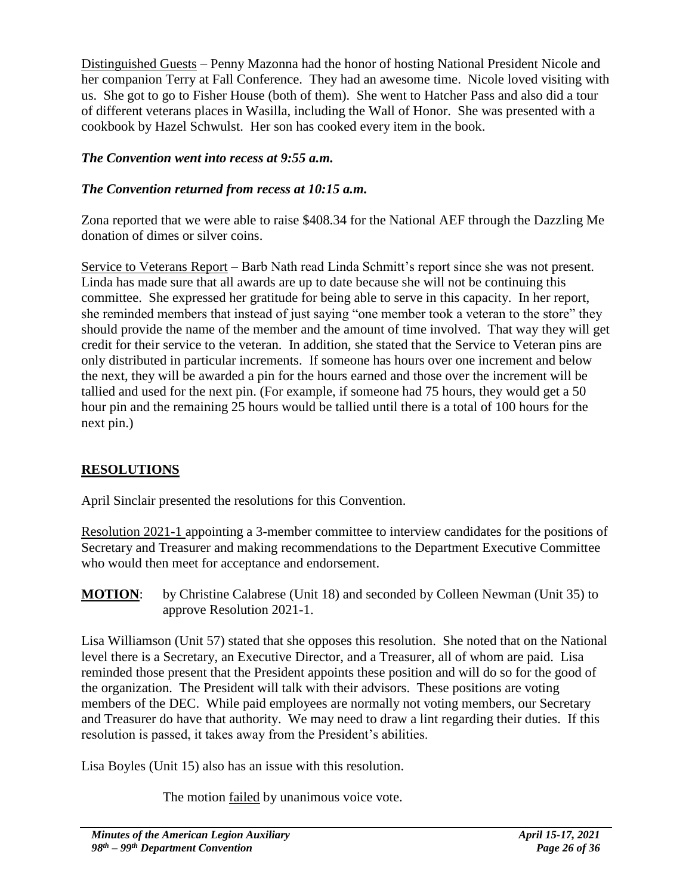Distinguished Guests – Penny Mazonna had the honor of hosting National President Nicole and her companion Terry at Fall Conference. They had an awesome time. Nicole loved visiting with us. She got to go to Fisher House (both of them). She went to Hatcher Pass and also did a tour of different veterans places in Wasilla, including the Wall of Honor. She was presented with a cookbook by Hazel Schwulst. Her son has cooked every item in the book.

# *The Convention went into recess at 9:55 a.m.*

# *The Convention returned from recess at 10:15 a.m.*

Zona reported that we were able to raise \$408.34 for the National AEF through the Dazzling Me donation of dimes or silver coins.

Service to Veterans Report – Barb Nath read Linda Schmitt's report since she was not present. Linda has made sure that all awards are up to date because she will not be continuing this committee. She expressed her gratitude for being able to serve in this capacity. In her report, she reminded members that instead of just saying "one member took a veteran to the store" they should provide the name of the member and the amount of time involved. That way they will get credit for their service to the veteran. In addition, she stated that the Service to Veteran pins are only distributed in particular increments. If someone has hours over one increment and below the next, they will be awarded a pin for the hours earned and those over the increment will be tallied and used for the next pin. (For example, if someone had 75 hours, they would get a 50 hour pin and the remaining 25 hours would be tallied until there is a total of 100 hours for the next pin.)

# **RESOLUTIONS**

April Sinclair presented the resolutions for this Convention.

Resolution 2021-1 appointing a 3-member committee to interview candidates for the positions of Secretary and Treasurer and making recommendations to the Department Executive Committee who would then meet for acceptance and endorsement.

**MOTION:** by Christine Calabrese (Unit 18) and seconded by Colleen Newman (Unit 35) to approve Resolution 2021-1.

Lisa Williamson (Unit 57) stated that she opposes this resolution. She noted that on the National level there is a Secretary, an Executive Director, and a Treasurer, all of whom are paid. Lisa reminded those present that the President appoints these position and will do so for the good of the organization. The President will talk with their advisors. These positions are voting members of the DEC. While paid employees are normally not voting members, our Secretary and Treasurer do have that authority. We may need to draw a lint regarding their duties. If this resolution is passed, it takes away from the President's abilities.

Lisa Boyles (Unit 15) also has an issue with this resolution.

The motion <u>failed</u> by unanimous voice vote.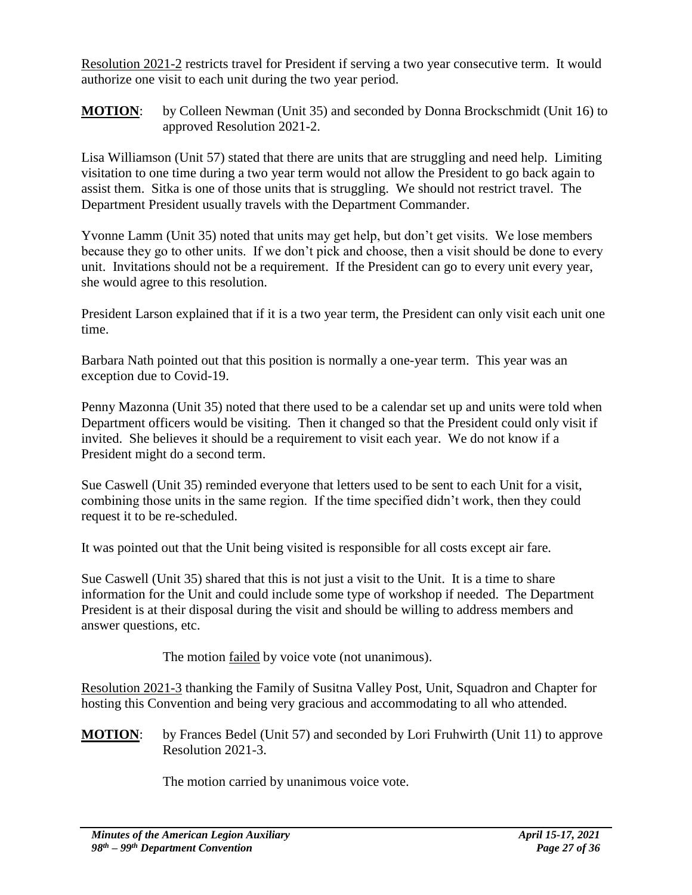Resolution 2021-2 restricts travel for President if serving a two year consecutive term. It would authorize one visit to each unit during the two year period.

**MOTION:** by Colleen Newman (Unit 35) and seconded by Donna Brockschmidt (Unit 16) to approved Resolution 2021-2.

Lisa Williamson (Unit 57) stated that there are units that are struggling and need help. Limiting visitation to one time during a two year term would not allow the President to go back again to assist them. Sitka is one of those units that is struggling. We should not restrict travel. The Department President usually travels with the Department Commander.

Yvonne Lamm (Unit 35) noted that units may get help, but don't get visits. We lose members because they go to other units. If we don't pick and choose, then a visit should be done to every unit. Invitations should not be a requirement. If the President can go to every unit every year, she would agree to this resolution.

President Larson explained that if it is a two year term, the President can only visit each unit one time.

Barbara Nath pointed out that this position is normally a one-year term. This year was an exception due to Covid-19.

Penny Mazonna (Unit 35) noted that there used to be a calendar set up and units were told when Department officers would be visiting. Then it changed so that the President could only visit if invited. She believes it should be a requirement to visit each year. We do not know if a President might do a second term.

Sue Caswell (Unit 35) reminded everyone that letters used to be sent to each Unit for a visit, combining those units in the same region. If the time specified didn't work, then they could request it to be re-scheduled.

It was pointed out that the Unit being visited is responsible for all costs except air fare.

Sue Caswell (Unit 35) shared that this is not just a visit to the Unit. It is a time to share information for the Unit and could include some type of workshop if needed. The Department President is at their disposal during the visit and should be willing to address members and answer questions, etc.

The motion failed by voice vote (not unanimous).

Resolution 2021-3 thanking the Family of Susitna Valley Post, Unit, Squadron and Chapter for hosting this Convention and being very gracious and accommodating to all who attended.

**MOTION**: by Frances Bedel (Unit 57) and seconded by Lori Fruhwirth (Unit 11) to approve Resolution 2021-3.

The motion carried by unanimous voice vote.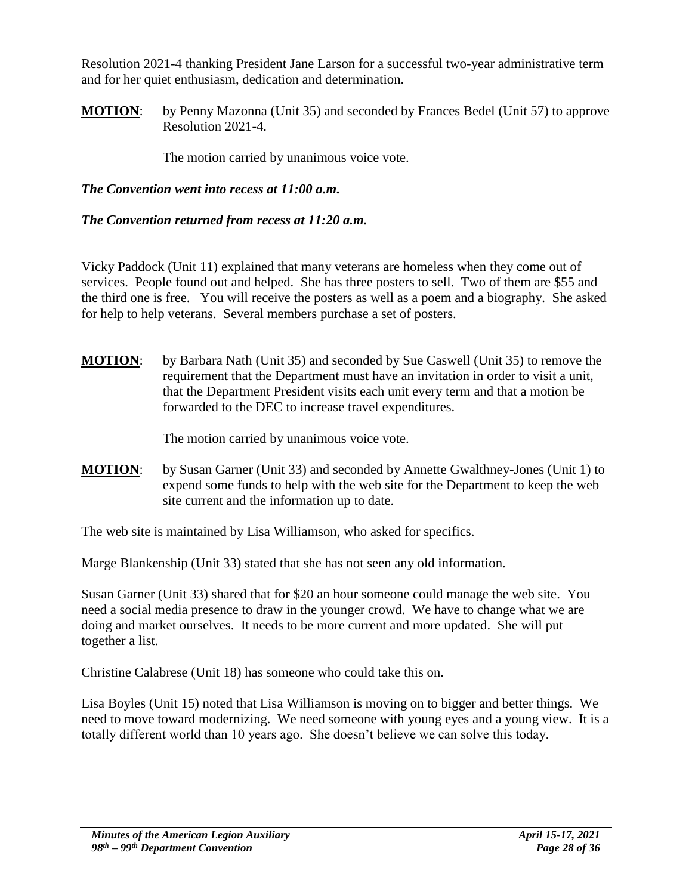Resolution 2021-4 thanking President Jane Larson for a successful two-year administrative term and for her quiet enthusiasm, dedication and determination.

**MOTION:** by Penny Mazonna (Unit 35) and seconded by Frances Bedel (Unit 57) to approve Resolution 2021-4.

The motion carried by unanimous voice vote.

# *The Convention went into recess at 11:00 a.m.*

### *The Convention returned from recess at 11:20 a.m.*

Vicky Paddock (Unit 11) explained that many veterans are homeless when they come out of services. People found out and helped. She has three posters to sell. Two of them are \$55 and the third one is free. You will receive the posters as well as a poem and a biography. She asked for help to help veterans. Several members purchase a set of posters.

**MOTION**: by Barbara Nath (Unit 35) and seconded by Sue Caswell (Unit 35) to remove the requirement that the Department must have an invitation in order to visit a unit, that the Department President visits each unit every term and that a motion be forwarded to the DEC to increase travel expenditures.

The motion carried by unanimous voice vote.

**MOTION**: by Susan Garner (Unit 33) and seconded by Annette Gwalthney-Jones (Unit 1) to expend some funds to help with the web site for the Department to keep the web site current and the information up to date.

The web site is maintained by Lisa Williamson, who asked for specifics.

Marge Blankenship (Unit 33) stated that she has not seen any old information.

Susan Garner (Unit 33) shared that for \$20 an hour someone could manage the web site. You need a social media presence to draw in the younger crowd. We have to change what we are doing and market ourselves. It needs to be more current and more updated. She will put together a list.

Christine Calabrese (Unit 18) has someone who could take this on.

Lisa Boyles (Unit 15) noted that Lisa Williamson is moving on to bigger and better things. We need to move toward modernizing. We need someone with young eyes and a young view. It is a totally different world than 10 years ago. She doesn't believe we can solve this today.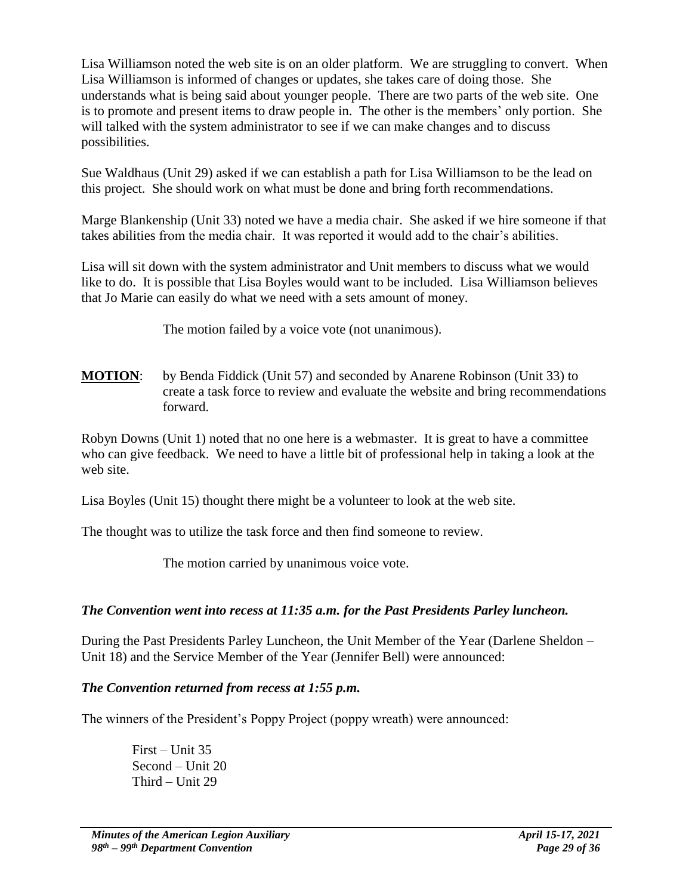Lisa Williamson noted the web site is on an older platform. We are struggling to convert. When Lisa Williamson is informed of changes or updates, she takes care of doing those. She understands what is being said about younger people. There are two parts of the web site. One is to promote and present items to draw people in. The other is the members' only portion. She will talked with the system administrator to see if we can make changes and to discuss possibilities.

Sue Waldhaus (Unit 29) asked if we can establish a path for Lisa Williamson to be the lead on this project. She should work on what must be done and bring forth recommendations.

Marge Blankenship (Unit 33) noted we have a media chair. She asked if we hire someone if that takes abilities from the media chair. It was reported it would add to the chair's abilities.

Lisa will sit down with the system administrator and Unit members to discuss what we would like to do. It is possible that Lisa Boyles would want to be included. Lisa Williamson believes that Jo Marie can easily do what we need with a sets amount of money.

The motion failed by a voice vote (not unanimous).

**MOTION**: by Benda Fiddick (Unit 57) and seconded by Anarene Robinson (Unit 33) to create a task force to review and evaluate the website and bring recommendations forward.

Robyn Downs (Unit 1) noted that no one here is a webmaster. It is great to have a committee who can give feedback. We need to have a little bit of professional help in taking a look at the web site.

Lisa Boyles (Unit 15) thought there might be a volunteer to look at the web site.

The thought was to utilize the task force and then find someone to review.

The motion carried by unanimous voice vote.

# *The Convention went into recess at 11:35 a.m. for the Past Presidents Parley luncheon.*

During the Past Presidents Parley Luncheon, the Unit Member of the Year (Darlene Sheldon – Unit 18) and the Service Member of the Year (Jennifer Bell) were announced:

# *The Convention returned from recess at 1:55 p.m.*

The winners of the President's Poppy Project (poppy wreath) were announced:

First – Unit 35 Second – Unit 20 Third – Unit 29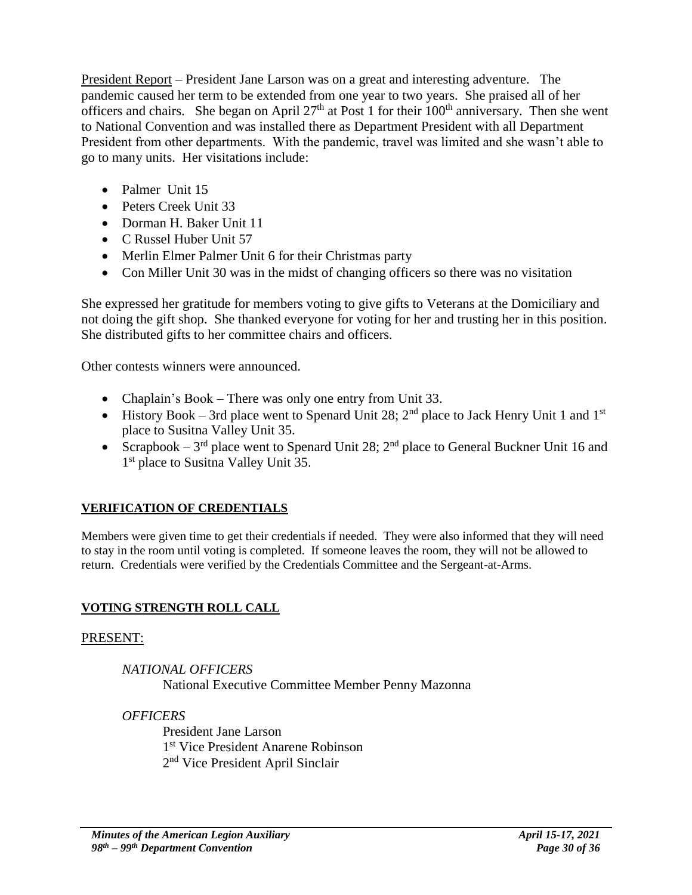President Report – President Jane Larson was on a great and interesting adventure. The pandemic caused her term to be extended from one year to two years. She praised all of her officers and chairs. She began on April 27<sup>th</sup> at Post 1 for their  $100<sup>th</sup>$  anniversary. Then she went to National Convention and was installed there as Department President with all Department President from other departments. With the pandemic, travel was limited and she wasn't able to go to many units. Her visitations include:

- Palmer Unit 15
- Peters Creek Unit 33
- Dorman H. Baker Unit 11
- C Russel Huber Unit 57
- Merlin Elmer Palmer Unit 6 for their Christmas party
- Con Miller Unit 30 was in the midst of changing officers so there was no visitation

She expressed her gratitude for members voting to give gifts to Veterans at the Domiciliary and not doing the gift shop. She thanked everyone for voting for her and trusting her in this position. She distributed gifts to her committee chairs and officers.

Other contests winners were announced.

- Chaplain's Book There was only one entry from Unit 33.
- History Book 3rd place went to Spenard Unit 28;  $2<sup>nd</sup>$  place to Jack Henry Unit 1 and 1<sup>st</sup> place to Susitna Valley Unit 35.
- Scrapbook  $3<sup>rd</sup>$  place went to Spenard Unit 28;  $2<sup>nd</sup>$  place to General Buckner Unit 16 and 1<sup>st</sup> place to Susitna Valley Unit 35.

# **VERIFICATION OF CREDENTIALS**

Members were given time to get their credentials if needed. They were also informed that they will need to stay in the room until voting is completed. If someone leaves the room, they will not be allowed to return. Credentials were verified by the Credentials Committee and the Sergeant-at-Arms.

# **VOTING STRENGTH ROLL CALL**

# PRESENT:

*NATIONAL OFFICERS* National Executive Committee Member Penny Mazonna

# *OFFICERS*

President Jane Larson 1 st Vice President Anarene Robinson 2<sup>nd</sup> Vice President April Sinclair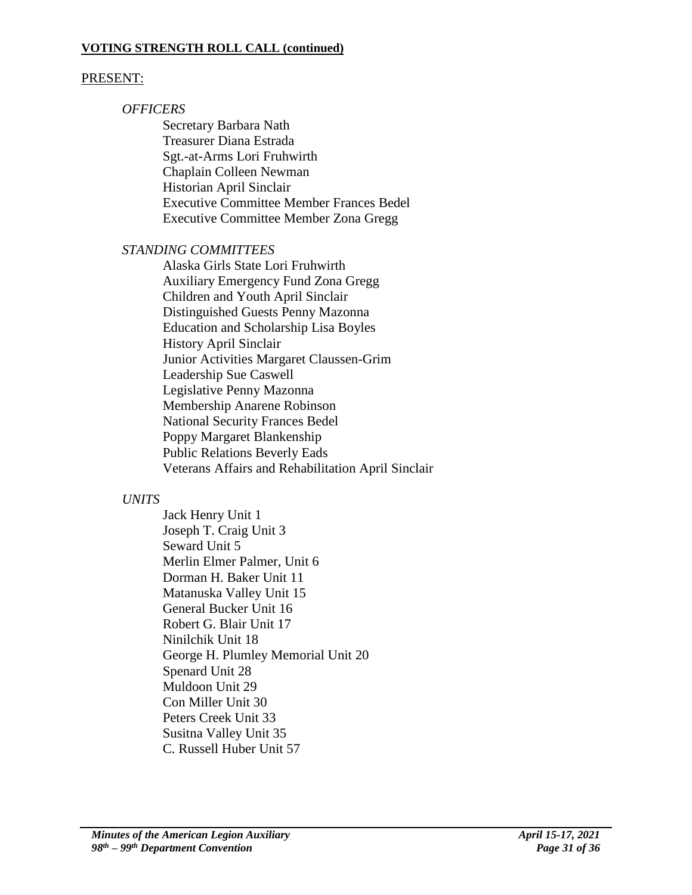#### **VOTING STRENGTH ROLL CALL (continued)**

### PRESENT:

### *OFFICERS*

Secretary Barbara Nath Treasurer Diana Estrada Sgt.-at-Arms Lori Fruhwirth Chaplain Colleen Newman Historian April Sinclair Executive Committee Member Frances Bedel Executive Committee Member Zona Gregg

### *STANDING COMMITTEES*

Alaska Girls State Lori Fruhwirth Auxiliary Emergency Fund Zona Gregg Children and Youth April Sinclair Distinguished Guests Penny Mazonna Education and Scholarship Lisa Boyles History April Sinclair Junior Activities Margaret Claussen-Grim Leadership Sue Caswell Legislative Penny Mazonna Membership Anarene Robinson National Security Frances Bedel Poppy Margaret Blankenship Public Relations Beverly Eads Veterans Affairs and Rehabilitation April Sinclair

### *UNITS*

Jack Henry Unit 1 Joseph T. Craig Unit 3 Seward Unit 5 Merlin Elmer Palmer, Unit 6 Dorman H. Baker Unit 11 Matanuska Valley Unit 15 General Bucker Unit 16 Robert G. Blair Unit 17 Ninilchik Unit 18 George H. Plumley Memorial Unit 20 Spenard Unit 28 Muldoon Unit 29 Con Miller Unit 30 Peters Creek Unit 33 Susitna Valley Unit 35 C. Russell Huber Unit 57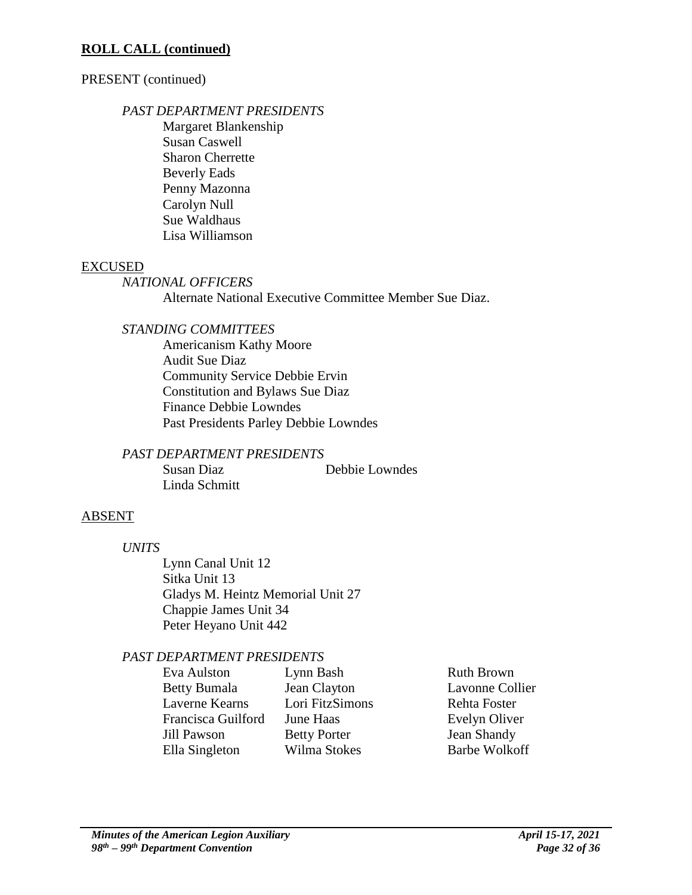### **ROLL CALL (continued)**

### PRESENT (continued)

### *PAST DEPARTMENT PRESIDENTS*

Margaret Blankenship Susan Caswell Sharon Cherrette Beverly Eads Penny Mazonna Carolyn Null Sue Waldhaus Lisa Williamson

## EXCUSED

### *NATIONAL OFFICERS*

Alternate National Executive Committee Member Sue Diaz.

# *STANDING COMMITTEES*

Americanism Kathy Moore Audit Sue Diaz Community Service Debbie Ervin Constitution and Bylaws Sue Diaz Finance Debbie Lowndes Past Presidents Parley Debbie Lowndes

# *PAST DEPARTMENT PRESIDENTS*

Susan Diaz Debbie Lowndes Linda Schmitt

# ABSENT

*UNITS*

Lynn Canal Unit 12 Sitka Unit 13 Gladys M. Heintz Memorial Unit 27 Chappie James Unit 34 Peter Heyano Unit 442

# *PAST DEPARTMENT PRESIDENTS*

| Eva Aulston         | Lynn Bash           | <b>Ruth Brown</b>    |
|---------------------|---------------------|----------------------|
| <b>Betty Bumala</b> | Jean Clayton        | Lavonne Collier      |
| Laverne Kearns      | Lori FitzSimons     | Rehta Foster         |
| Francisca Guilford  | June Haas           | Evelyn Oliver        |
| Jill Pawson         | <b>Betty Porter</b> | Jean Shandy          |
| Ella Singleton      | Wilma Stokes        | <b>Barbe Wolkoff</b> |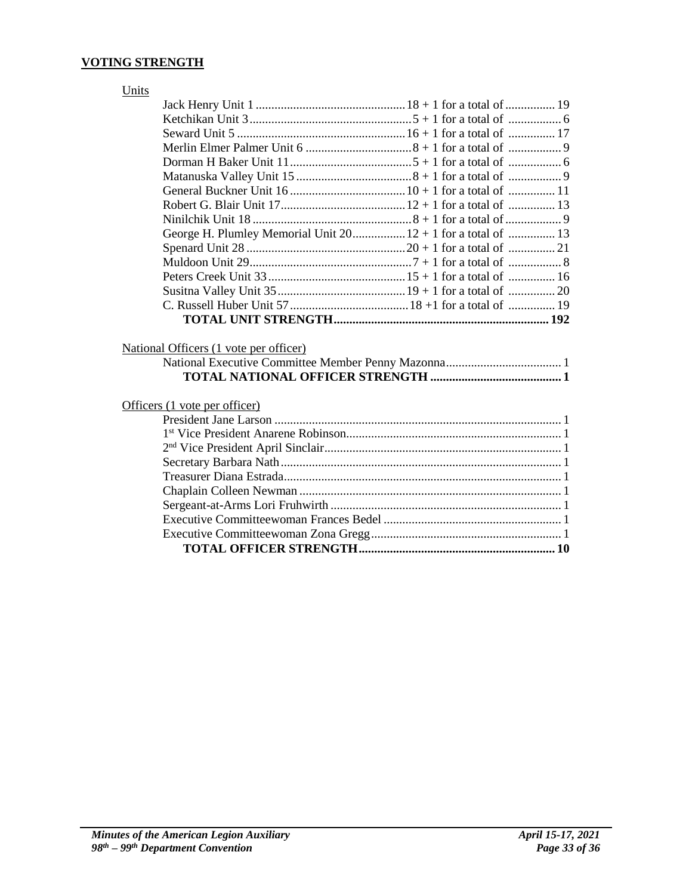### **VOTING STRENGTH**

| Units                                                        |
|--------------------------------------------------------------|
|                                                              |
|                                                              |
|                                                              |
|                                                              |
|                                                              |
|                                                              |
|                                                              |
|                                                              |
|                                                              |
| George H. Plumley Memorial Unit 20 12 + 1 for a total of  13 |
|                                                              |
|                                                              |
|                                                              |
|                                                              |
|                                                              |
|                                                              |
|                                                              |
| National Officers (1 vote per officer)                       |
|                                                              |
|                                                              |
|                                                              |
| Officers (1 vote per officer)                                |
|                                                              |
|                                                              |
|                                                              |
|                                                              |
|                                                              |
|                                                              |
|                                                              |
|                                                              |
|                                                              |
|                                                              |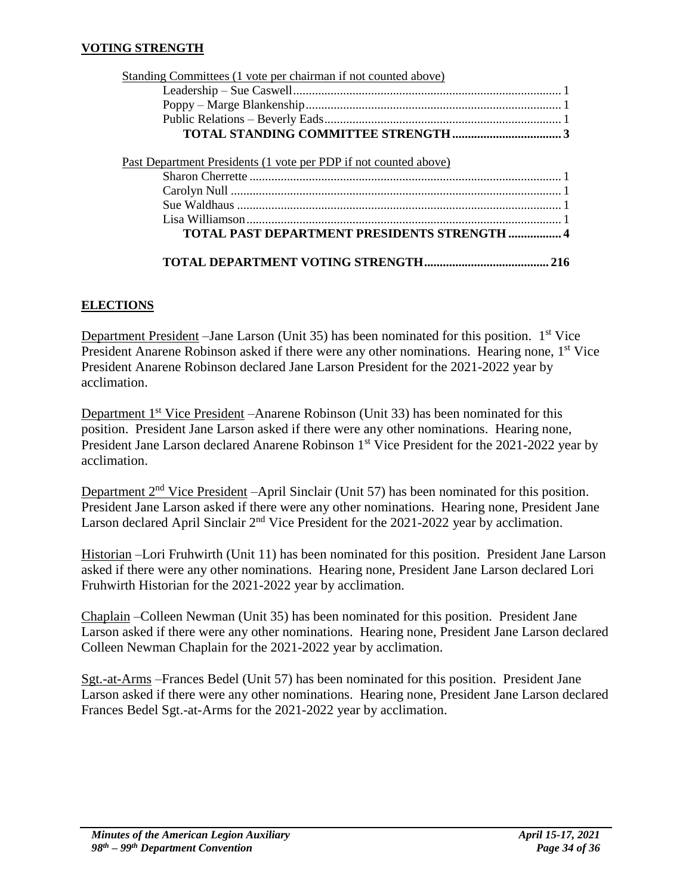#### **VOTING STRENGTH**

| Standing Committees (1 vote per chairman if not counted above)   |  |
|------------------------------------------------------------------|--|
|                                                                  |  |
|                                                                  |  |
|                                                                  |  |
|                                                                  |  |
| Past Department Presidents (1 vote per PDP if not counted above) |  |
|                                                                  |  |
|                                                                  |  |

Sue Waldhaus ........................................................................................................ 1 Lisa Williamson..................................................................................................... 1 **TOTAL PAST DEPARTMENT PRESIDENTS STRENGTH ................. 4**

**TOTAL DEPARTMENT VOTING STRENGTH........................................ 216**

### **ELECTIONS**

Department President – Jane Larson (Unit 35) has been nominated for this position. 1<sup>st</sup> Vice President Anarene Robinson asked if there were any other nominations. Hearing none, 1<sup>st</sup> Vice President Anarene Robinson declared Jane Larson President for the 2021-2022 year by acclimation.

Department 1<sup>st</sup> Vice President –Anarene Robinson (Unit 33) has been nominated for this position. President Jane Larson asked if there were any other nominations. Hearing none, President Jane Larson declared Anarene Robinson 1<sup>st</sup> Vice President for the 2021-2022 year by acclimation.

Department 2<sup>nd</sup> Vice President –April Sinclair (Unit 57) has been nominated for this position. President Jane Larson asked if there were any other nominations. Hearing none, President Jane Larson declared April Sinclair 2<sup>nd</sup> Vice President for the 2021-2022 year by acclimation.

Historian –Lori Fruhwirth (Unit 11) has been nominated for this position. President Jane Larson asked if there were any other nominations. Hearing none, President Jane Larson declared Lori Fruhwirth Historian for the 2021-2022 year by acclimation.

Chaplain –Colleen Newman (Unit 35) has been nominated for this position. President Jane Larson asked if there were any other nominations. Hearing none, President Jane Larson declared Colleen Newman Chaplain for the 2021-2022 year by acclimation.

Sgt.-at-Arms –Frances Bedel (Unit 57) has been nominated for this position. President Jane Larson asked if there were any other nominations. Hearing none, President Jane Larson declared Frances Bedel Sgt.-at-Arms for the 2021-2022 year by acclimation.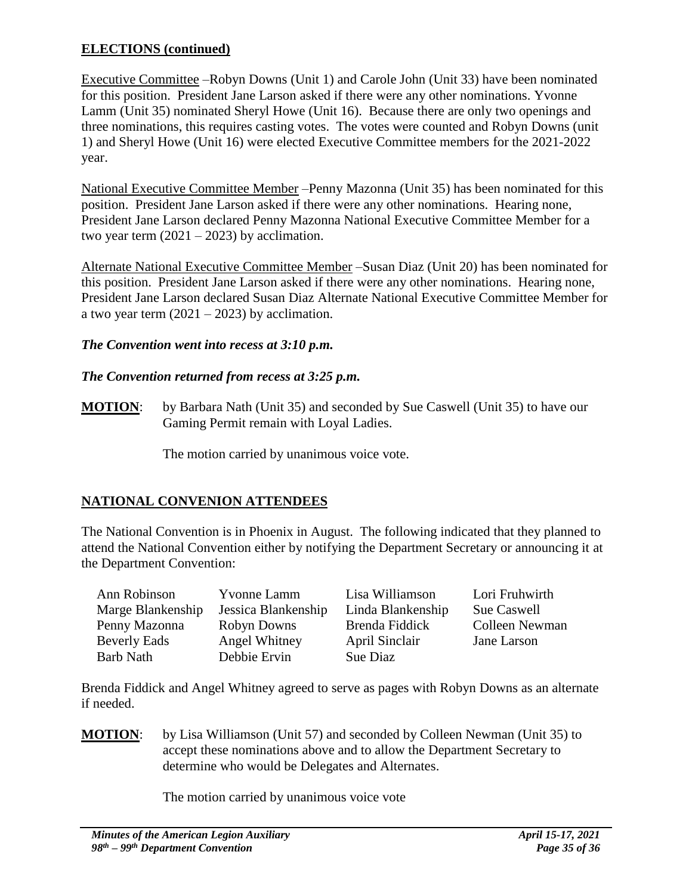# **ELECTIONS (continued)**

Executive Committee –Robyn Downs (Unit 1) and Carole John (Unit 33) have been nominated for this position. President Jane Larson asked if there were any other nominations. Yvonne Lamm (Unit 35) nominated Sheryl Howe (Unit 16). Because there are only two openings and three nominations, this requires casting votes. The votes were counted and Robyn Downs (unit 1) and Sheryl Howe (Unit 16) were elected Executive Committee members for the 2021-2022 year.

National Executive Committee Member –Penny Mazonna (Unit 35) has been nominated for this position. President Jane Larson asked if there were any other nominations. Hearing none, President Jane Larson declared Penny Mazonna National Executive Committee Member for a two year term  $(2021 – 2023)$  by acclimation.

Alternate National Executive Committee Member –Susan Diaz (Unit 20) has been nominated for this position. President Jane Larson asked if there were any other nominations. Hearing none, President Jane Larson declared Susan Diaz Alternate National Executive Committee Member for a two year term  $(2021 – 2023)$  by acclimation.

### *The Convention went into recess at 3:10 p.m.*

### *The Convention returned from recess at 3:25 p.m.*

**MOTION**: by Barbara Nath (Unit 35) and seconded by Sue Caswell (Unit 35) to have our Gaming Permit remain with Loyal Ladies.

The motion carried by unanimous voice vote.

# **NATIONAL CONVENION ATTENDEES**

The National Convention is in Phoenix in August. The following indicated that they planned to attend the National Convention either by notifying the Department Secretary or announcing it at the Department Convention:

| Ann Robinson        | <b>Yvonne Lamm</b>  | Lisa Williamson   | Lori Fruhwirth |
|---------------------|---------------------|-------------------|----------------|
| Marge Blankenship   | Jessica Blankenship | Linda Blankenship | Sue Caswell    |
| Penny Mazonna       | Robyn Downs         | Brenda Fiddick    | Colleen Newman |
| <b>Beverly Eads</b> | Angel Whitney       | April Sinclair    | Jane Larson    |
| <b>Barb Nath</b>    | Debbie Ervin        | Sue Diaz          |                |

Brenda Fiddick and Angel Whitney agreed to serve as pages with Robyn Downs as an alternate if needed.

**MOTION**: by Lisa Williamson (Unit 57) and seconded by Colleen Newman (Unit 35) to accept these nominations above and to allow the Department Secretary to determine who would be Delegates and Alternates.

The motion carried by unanimous voice vote